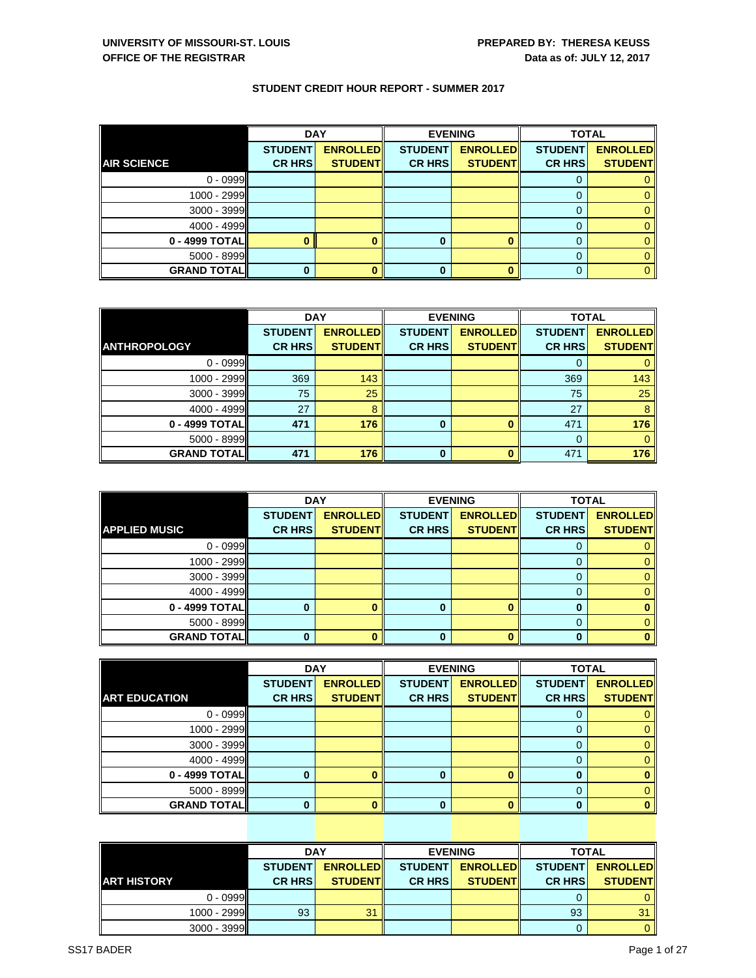|                    | <b>DAY</b>     |                 |                | <b>EVENING</b>  | <b>TOTAL</b>   |                 |
|--------------------|----------------|-----------------|----------------|-----------------|----------------|-----------------|
|                    | <b>STUDENT</b> | <b>ENROLLED</b> | <b>STUDENT</b> | <b>ENROLLED</b> | <b>STUDENT</b> | <b>ENROLLED</b> |
| <b>AIR SCIENCE</b> | <b>CR HRS</b>  | <b>STUDENT</b>  | <b>CR HRS</b>  | <b>STUDENT</b>  | <b>CR HRS</b>  | <b>STUDENT</b>  |
| $0 - 0999$         |                |                 |                |                 | O              |                 |
| $1000 - 2999$      |                |                 |                |                 |                |                 |
| 3000 - 3999        |                |                 |                |                 |                |                 |
| 4000 - 4999        |                |                 |                |                 | 0              |                 |
| 0 - 4999 TOTAL     |                |                 | 0              |                 |                |                 |
| 5000 - 8999        |                |                 |                |                 |                |                 |
| <b>GRAND TOTAL</b> | 0              |                 | 0              |                 | $\Omega$       |                 |

|                     | <b>DAY</b>     |                 |                | <b>EVENING</b>  | <b>TOTAL</b>   |                 |  |
|---------------------|----------------|-----------------|----------------|-----------------|----------------|-----------------|--|
|                     | <b>STUDENT</b> | <b>ENROLLED</b> | <b>STUDENT</b> | <b>ENROLLED</b> | <b>STUDENT</b> | <b>ENROLLED</b> |  |
| <b>ANTHROPOLOGY</b> | <b>CR HRS</b>  | <b>STUDENT</b>  | <b>CR HRS</b>  | <b>STUDENT</b>  | <b>CR HRS</b>  | <b>STUDENT</b>  |  |
| $0 - 0999$          |                |                 |                |                 |                |                 |  |
| 1000 - 2999         | 369            | 143             |                |                 | 369            | 143             |  |
| $3000 - 3999$       | 75             | 25              |                |                 | 75             | 25              |  |
| 4000 - 4999         | 27             | 8               |                |                 | 27             | 8               |  |
| 0 - 4999 TOTAL      | 471            | 176             | 0              |                 | 471            | 176             |  |
| $5000 - 8999$       |                |                 |                |                 | 0              |                 |  |
| <b>GRAND TOTALI</b> | 471            | 176             | $\bf{0}$       |                 | 471            | 176             |  |

|                      |                | <b>DAY</b>      | <b>EVENING</b> |                 | <b>TOTAL</b>   |                 |
|----------------------|----------------|-----------------|----------------|-----------------|----------------|-----------------|
|                      | <b>STUDENT</b> | <b>ENROLLED</b> | <b>STUDENT</b> | <b>ENROLLED</b> | <b>STUDENT</b> | <b>ENROLLED</b> |
| <b>APPLIED MUSIC</b> | <b>CR HRS</b>  | <b>STUDENT</b>  | <b>CR HRS</b>  | <b>STUDENT</b>  | <b>CR HRS</b>  | <b>STUDENT</b>  |
| $0 - 0999$           |                |                 |                |                 |                |                 |
| 1000 - 2999          |                |                 |                |                 |                |                 |
| 3000 - 3999          |                |                 |                |                 |                |                 |
| 4000 - 4999          |                |                 |                |                 |                | 0               |
| 0 - 4999 TOTAL       |                |                 | O              |                 |                |                 |
| 5000 - 8999          |                |                 |                |                 |                |                 |
| <b>GRAND TOTAL</b>   |                |                 | ŋ              |                 |                |                 |

|                      | <b>DAY</b>     |                 | <b>EVENING</b> |                 | <b>TOTAL</b>   |                 |
|----------------------|----------------|-----------------|----------------|-----------------|----------------|-----------------|
|                      | <b>STUDENT</b> | <b>ENROLLED</b> | <b>STUDENT</b> | <b>ENROLLED</b> | <b>STUDENT</b> | <b>ENROLLED</b> |
| <b>ART EDUCATION</b> | <b>CR HRS</b>  | <b>STUDENT</b>  | <b>CR HRS</b>  | <b>STUDENT</b>  | <b>CR HRS</b>  | <b>STUDENT</b>  |
| $0 - 0999$           |                |                 |                |                 |                | 0               |
| 1000 - 2999          |                |                 |                |                 |                | 0               |
| $3000 - 3999$        |                |                 |                |                 |                | $\mathbf{0}$    |
| $4000 - 4999$        |                |                 |                |                 |                | 0               |
| 0 - 4999 TOTAL       | 0              |                 | 0              |                 |                | 0               |
| $5000 - 8999$        |                |                 |                |                 |                | $\Omega$        |
| <b>GRAND TOTALI</b>  | 0              |                 | ŋ              |                 |                | o               |

|                    |                | <b>DAY</b>       |                | <b>EVENING</b>   | <b>TOTAL</b>   |                 |
|--------------------|----------------|------------------|----------------|------------------|----------------|-----------------|
|                    | <b>STUDENT</b> | <b>ENROLLEDI</b> | <b>STUDENT</b> | <b>ENROLLEDI</b> | <b>STUDENT</b> | <b>ENROLLED</b> |
| <b>ART HISTORY</b> | <b>CR HRSI</b> | <b>STUDENTI</b>  | <b>CR HRSI</b> | <b>STUDENTI</b>  | <b>CR HRS</b>  | <b>STUDENT</b>  |
| $0 - 0999$         |                |                  |                |                  |                | 0               |
| $1000 - 2999$      | 93             | 31               |                |                  | 93             | 31              |
| $3000 - 3999$      |                |                  |                |                  |                | $\Omega$        |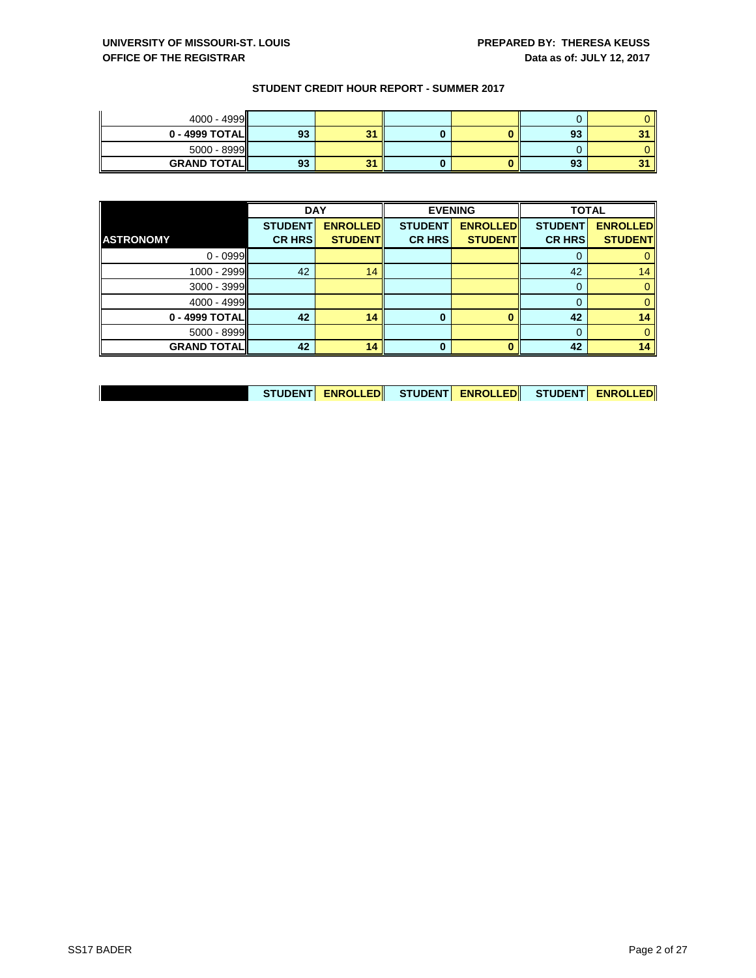| 4000 - 4999        |    |                  |  |    |  |
|--------------------|----|------------------|--|----|--|
| $0 - 4999$ TOTAL   | 93 | 24<br>- 12       |  | 93 |  |
| $5000 - 8999$      |    |                  |  |    |  |
| <b>GRAND TOTAL</b> | 93 | 24<br><b>SOF</b> |  | 93 |  |

|                    | <b>DAY</b>     |                 | <b>EVENING</b> |                 | <b>TOTAL</b>   |                 |
|--------------------|----------------|-----------------|----------------|-----------------|----------------|-----------------|
|                    | <b>STUDENT</b> | <b>ENROLLED</b> | <b>STUDENT</b> | <b>ENROLLED</b> | <b>STUDENT</b> | <b>ENROLLED</b> |
| <b>ASTRONOMY</b>   | <b>CR HRS</b>  | <b>STUDENT</b>  | <b>CR HRS</b>  | <b>STUDENT</b>  | <b>CR HRS</b>  | <b>STUDENT</b>  |
| $0 - 0999$         |                |                 |                |                 |                |                 |
| 1000 - 2999        | 42             | 14              |                |                 | 42             | 14              |
| 3000 - 3999        |                |                 |                |                 | $\Omega$       | 0               |
| 4000 - 4999        |                |                 |                |                 | 0              | 0               |
| 0 - 4999 TOTAL     | 42             | 14              | $\bf{0}$       |                 | 42             | 14              |
| 5000 - 8999        |                |                 |                |                 | $\Omega$       | 0               |
| <b>GRAND TOTAL</b> | 42             | 14              | 0              |                 | 42             | 14              |

| STUDENT <mark>  ENROLLED </mark>   STUDENT <mark>  ENROLLED </mark>   STUDENT  <mark>ENROLLED </mark> |  |  |  |
|-------------------------------------------------------------------------------------------------------|--|--|--|
|-------------------------------------------------------------------------------------------------------|--|--|--|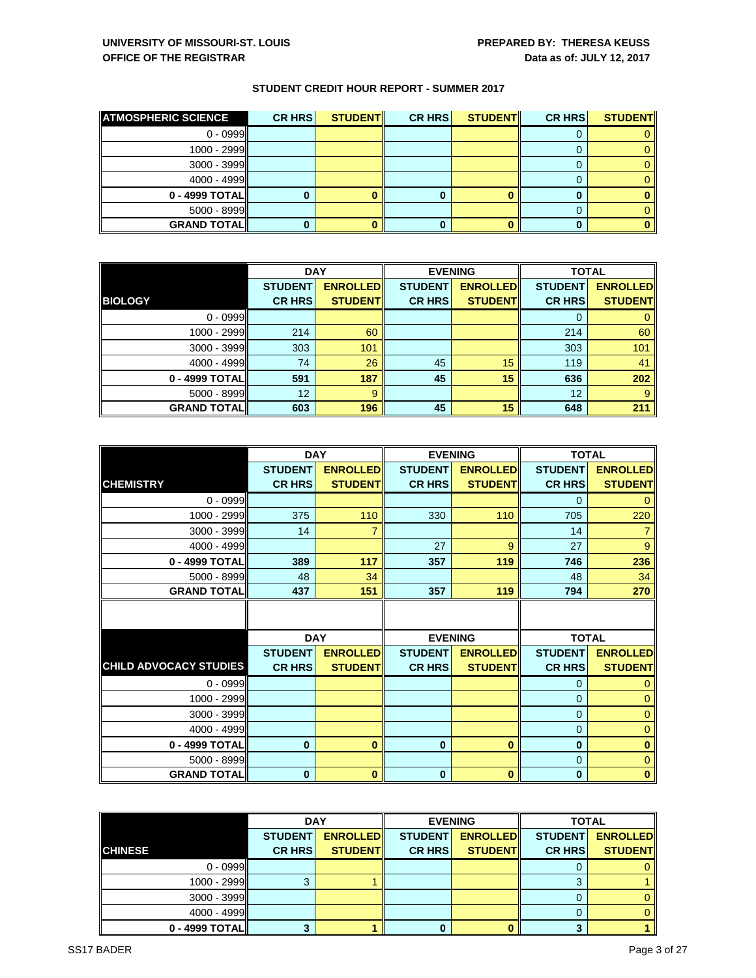| <b>ATMOSPHERIC SCIENCE</b> | CR HRS | <b>STUDENT</b> | <b>CR HRS</b> | <b>STUDENT</b> | CR HRS | <b>STUDENT</b> |
|----------------------------|--------|----------------|---------------|----------------|--------|----------------|
| $0 - 0999$                 |        |                |               |                |        |                |
| 1000 - 2999                |        |                |               |                |        |                |
| 3000 - 3999                |        |                |               |                |        |                |
| $4000 - 4999$              |        |                |               |                |        |                |
| 0 - 4999 TOTAL             |        |                |               |                |        |                |
| 5000 - 8999                |        |                |               |                |        |                |
| <b>GRAND TOTALI</b>        |        |                |               |                |        |                |

|                    | <b>DAY</b>                      |                                   |                                 | <b>EVENING</b>                    |                                 | <b>TOTAL</b>                      |  |
|--------------------|---------------------------------|-----------------------------------|---------------------------------|-----------------------------------|---------------------------------|-----------------------------------|--|
| <b>BIOLOGY</b>     | <b>STUDENT</b><br><b>CR HRS</b> | <b>ENROLLED</b><br><b>STUDENT</b> | <b>STUDENT</b><br><b>CR HRS</b> | <b>ENROLLED</b><br><b>STUDENT</b> | <b>STUDENT</b><br><b>CR HRS</b> | <b>ENROLLED</b><br><b>STUDENT</b> |  |
| $0 - 0999$         |                                 |                                   |                                 |                                   | 0                               |                                   |  |
| 1000 - 2999        | 214                             | 60                                |                                 |                                   | 214                             | 60                                |  |
| 3000 - 3999        | 303                             | 101                               |                                 |                                   | 303                             | 101                               |  |
| 4000 - 4999        | 74                              | 26                                | 45                              | 15                                | 119                             | 41                                |  |
| 0 - 4999 TOTAL     | 591                             | 187                               | 45                              | 15                                | 636                             | 202                               |  |
| 5000 - 8999        | 12                              | 9                                 |                                 |                                   | 12                              | 9                                 |  |
| <b>GRAND TOTAL</b> | 603                             | 196                               | 45                              | 15                                | 648                             | 211                               |  |

|                               |                | <b>DAY</b>      | <b>EVENING</b> |                 | <b>TOTAL</b>   |                 |  |
|-------------------------------|----------------|-----------------|----------------|-----------------|----------------|-----------------|--|
|                               | <b>STUDENT</b> | <b>ENROLLED</b> | <b>STUDENT</b> | <b>ENROLLED</b> | <b>STUDENT</b> | <b>ENROLLED</b> |  |
| <b>CHEMISTRY</b>              | <b>CR HRS</b>  | <b>STUDENT</b>  | <b>CR HRS</b>  | <b>STUDENT</b>  | <b>CR HRS</b>  | <b>STUDENT</b>  |  |
| $0 - 0999$                    |                |                 |                |                 | $\mathbf 0$    | $\mathbf{0}$    |  |
| 1000 - 2999                   | 375            | 110             | 330            | 110             | 705            | 220             |  |
| 3000 - 3999                   | 14             | 7               |                |                 | 14             |                 |  |
| 4000 - 4999                   |                |                 | 27             | 9               | 27             | 9               |  |
| 0 - 4999 TOTAL                | 389            | 117             | 357            | 119             | 746            | 236             |  |
| 5000 - 8999                   | 48             | 34              |                |                 | 48             | 34              |  |
| <b>GRAND TOTAL</b>            | 437            | 151             | 357            | 119             | 794            | 270             |  |
|                               |                |                 |                |                 |                |                 |  |
|                               |                | <b>DAY</b>      | <b>EVENING</b> |                 | <b>TOTAL</b>   |                 |  |
|                               | <b>STUDENT</b> | <b>ENROLLED</b> | <b>STUDENT</b> | <b>ENROLLED</b> | <b>STUDENT</b> | <b>ENROLLED</b> |  |
| <b>CHILD ADVOCACY STUDIES</b> | <b>CR HRS</b>  | <b>STUDENT</b>  | <b>CR HRS</b>  | <b>STUDENT</b>  | <b>CR HRS</b>  | <b>STUDENT</b>  |  |
| $0 - 0999$                    |                |                 |                |                 | $\mathbf 0$    | $\mathbf 0$     |  |
| 1000 - 2999                   |                |                 |                |                 | $\mathbf 0$    | $\mathbf 0$     |  |
| 3000 - 3999                   |                |                 |                |                 | $\overline{0}$ | $\mathbf 0$     |  |
| 4000 - 4999                   |                |                 |                |                 | $\mathbf 0$    | $\mathbf{0}$    |  |
| 0 - 4999 TOTAL                | $\mathbf{0}$   | $\bf{0}$        | $\mathbf{0}$   | $\bf{0}$        | $\bf{0}$       | $\mathbf{0}$    |  |
| 5000 - 8999                   |                |                 |                |                 | $\mathbf{0}$   | $\mathbf{0}$    |  |
| <b>GRAND TOTAL</b>            | $\bf{0}$       | $\bf{0}$        | $\bf{0}$       | $\bf{0}$        | $\bf{0}$       | $\bf{0}$        |  |

|                | <b>DAY</b>     |                 |                | <b>EVENING</b>  | <b>TOTAL</b>   |                 |
|----------------|----------------|-----------------|----------------|-----------------|----------------|-----------------|
|                | <b>STUDENT</b> | <b>ENROLLED</b> | <b>STUDENT</b> | <b>ENROLLED</b> | <b>STUDENT</b> | <b>ENROLLED</b> |
| <b>CHINESE</b> | <b>CR HRS</b>  | <b>STUDENTI</b> | <b>CR HRS</b>  | <b>STUDENT</b>  | <b>CR HRS</b>  | <b>STUDENT</b>  |
| $0 - 0999$     |                |                 |                |                 |                |                 |
| 1000 - 2999    |                |                 |                |                 |                |                 |
| $3000 - 3999$  |                |                 |                |                 |                |                 |
| $4000 - 4999$  |                |                 |                |                 |                | $\Omega$        |
| 0 - 4999 TOTAL |                |                 |                |                 |                |                 |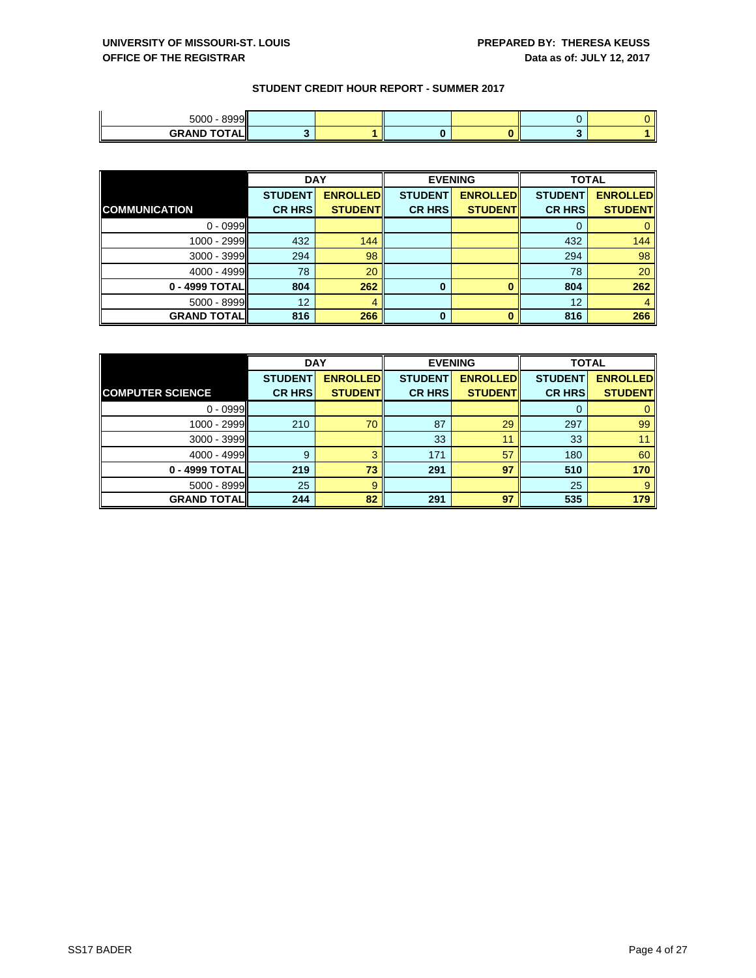| 8999<br>5000            |  |  |  |
|-------------------------|--|--|--|
| <b>GRAND TOTAI</b><br>. |  |  |  |

|                      | <b>DAY</b>     |                 |                | <b>EVENING</b>  | <b>TOTAL</b>   |                 |
|----------------------|----------------|-----------------|----------------|-----------------|----------------|-----------------|
|                      | <b>STUDENT</b> | <b>ENROLLED</b> | <b>STUDENT</b> | <b>ENROLLED</b> | <b>STUDENT</b> | <b>ENROLLED</b> |
| <b>COMMUNICATION</b> | <b>CR HRS</b>  | <b>STUDENT</b>  | <b>CR HRS</b>  | <b>STUDENT</b>  | <b>CR HRS</b>  | <b>STUDENT</b>  |
| $0 - 0999$           |                |                 |                |                 | O              | 0               |
| 1000 - 2999          | 432            | 144             |                |                 | 432            | 144             |
| 3000 - 3999          | 294            | 98              |                |                 | 294            | 98              |
| 4000 - 4999          | 78             | 20              |                |                 | 78             | 20              |
| 0 - 4999 TOTAL       | 804            | 262             | 0              |                 | 804            | 262             |
| $5000 - 8999$        | 12             |                 |                |                 | 12             |                 |
| <b>GRAND TOTAL</b>   | 816            | 266             | 0              |                 | 816            | 266             |

|                         | <b>DAY</b>     |                 |                | <b>EVENING</b>  | <b>TOTAL</b>   |                 |
|-------------------------|----------------|-----------------|----------------|-----------------|----------------|-----------------|
|                         | <b>STUDENT</b> | <b>ENROLLED</b> | <b>STUDENT</b> | <b>ENROLLED</b> | <b>STUDENT</b> | <b>ENROLLED</b> |
| <b>COMPUTER SCIENCE</b> | <b>CR HRS</b>  | <b>STUDENT</b>  | <b>CR HRS</b>  | <b>STUDENT</b>  | <b>CR HRS</b>  | <b>STUDENT</b>  |
| $0 - 0999$              |                |                 |                |                 | 0              |                 |
| 1000 - 2999             | 210            | 70              | 87             | 29              | 297            | 99              |
| $3000 - 3999$           |                |                 | 33             | 11              | 33             |                 |
| 4000 - 4999             | 9              | 3               | 171            | 57              | 180            | 60              |
| 0 - 4999 TOTAL          | 219            | 73              | 291            | 97              | 510            | 170             |
| $5000 - 8999$           | 25             | 9               |                |                 | 25             | 9               |
| <b>GRAND TOTALI</b>     | 244            | 82              | 291            | 97              | 535            | 179             |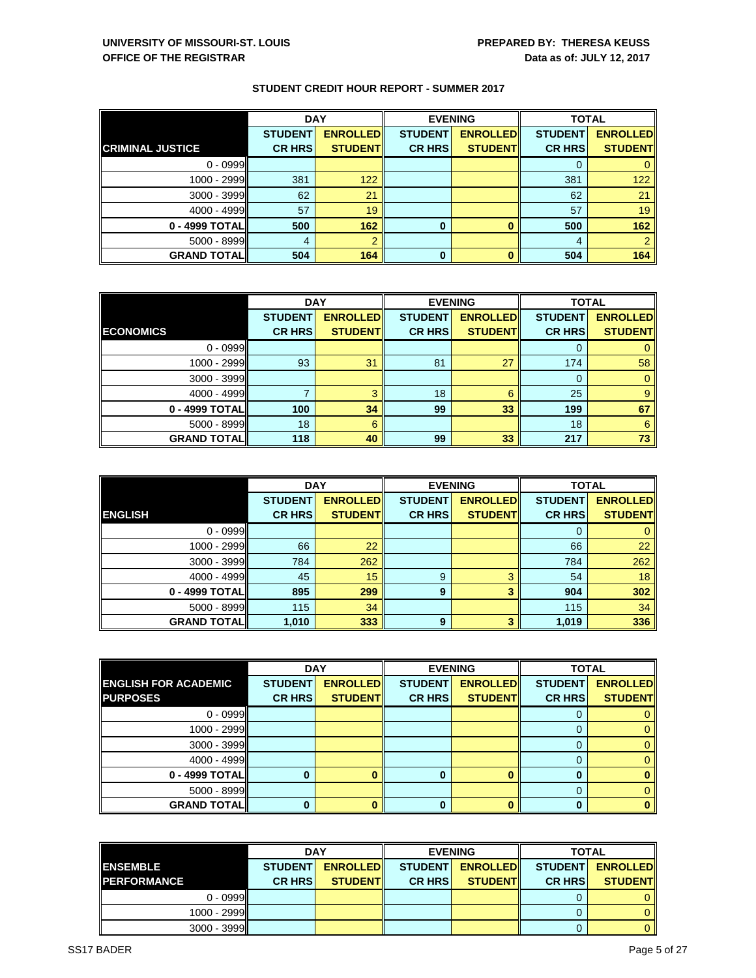|                         | <b>DAY</b>     |                 |                | <b>EVENING</b>  | <b>TOTAL</b>   |                 |
|-------------------------|----------------|-----------------|----------------|-----------------|----------------|-----------------|
|                         | <b>STUDENT</b> | <b>ENROLLED</b> | <b>STUDENT</b> | <b>ENROLLED</b> | <b>STUDENT</b> | <b>ENROLLED</b> |
| <b>CRIMINAL JUSTICE</b> | <b>CR HRS</b>  | <b>STUDENT</b>  | <b>CR HRS</b>  | <b>STUDENT</b>  | <b>CR HRS</b>  | <b>STUDENT</b>  |
| $0 - 0999$              |                |                 |                |                 |                |                 |
| 1000 - 2999             | 381            | 122             |                |                 | 381            | 122             |
| $3000 - 3999$           | 62             | 21              |                |                 | 62             | 21              |
| 4000 - 4999             | 57             | 19              |                |                 | 57             | 19              |
| $0 - 4999$ TOTAL        | 500            | 162             | $\bf{0}$       |                 | 500            | 162             |
| $5000 - 8999$           | 4              | ≘               |                |                 | 4              |                 |
| <b>GRAND TOTAL</b>      | 504            | 164             | $\bf{0}$       |                 | 504            | 164             |

|                    | <b>DAY</b>     |                 |                | <b>EVENING</b>  | <b>TOTAL</b>   |                 |
|--------------------|----------------|-----------------|----------------|-----------------|----------------|-----------------|
|                    | <b>STUDENT</b> | <b>ENROLLED</b> | <b>STUDENT</b> | <b>ENROLLED</b> | <b>STUDENT</b> | <b>ENROLLED</b> |
| <b>ECONOMICS</b>   | <b>CR HRS</b>  | <b>STUDENT</b>  | <b>CR HRS</b>  | <b>STUDENT</b>  | <b>CR HRS</b>  | <b>STUDENT</b>  |
| $0 - 0999$         |                |                 |                |                 | O              |                 |
| 1000 - 2999        | 93             | 31              | 81             | 27              | 174            | 58              |
| 3000 - 3999        |                |                 |                |                 | 0              |                 |
| 4000 - 4999        |                | 3               | 18             | 6               | 25             |                 |
| 0 - 4999 TOTAL     | 100            | 34              | 99             | 33              | 199            | 67              |
| 5000 - 8999        | 18             | 6               |                |                 | 18             | 6               |
| <b>GRAND TOTAL</b> | 118            | 40              | 99             | 33              | 217            | 73              |

|                    | <b>DAY</b>     |                 | <b>EVENING</b> |                 | <b>TOTAL</b>   |                 |
|--------------------|----------------|-----------------|----------------|-----------------|----------------|-----------------|
|                    | <b>STUDENT</b> | <b>ENROLLED</b> | <b>STUDENT</b> | <b>ENROLLED</b> | <b>STUDENT</b> | <b>ENROLLED</b> |
| <b>ENGLISH</b>     | <b>CR HRS</b>  | <b>STUDENT</b>  | <b>CR HRS</b>  | <b>STUDENT</b>  | <b>CR HRS</b>  | <b>STUDENT</b>  |
| $0 - 0999$         |                |                 |                |                 | 0              | 0               |
| 1000 - 2999        | 66             | 22              |                |                 | 66             | 22              |
| $3000 - 3999$      | 784            | 262             |                |                 | 784            | 262             |
| $4000 - 4999$      | 45             | 15              | 9              | 3               | 54             | 18              |
| 0 - 4999 TOTAL     | 895            | 299             | 9              | 3               | 904            | 302             |
| $5000 - 8999$      | 115            | 34              |                |                 | 115            | 34              |
| <b>GRAND TOTAL</b> | 1,010          | 333             | 9              |                 | 1,019          | 336             |

|                             |                | <b>DAY</b>      |                | <b>EVENING</b>  | <b>TOTAL</b>   |                 |
|-----------------------------|----------------|-----------------|----------------|-----------------|----------------|-----------------|
| <b>ENGLISH FOR ACADEMIC</b> | <b>STUDENT</b> | <b>ENROLLED</b> | <b>STUDENT</b> | <b>ENROLLED</b> | <b>STUDENT</b> | <b>ENROLLED</b> |
| <b>PURPOSES</b>             | <b>CR HRSI</b> | <b>STUDENT</b>  | <b>CR HRS</b>  | <b>STUDENTI</b> | <b>CR HRSI</b> | <b>STUDENT</b>  |
| $0 - 0999$                  |                |                 |                |                 |                |                 |
| 1000 - 2999II               |                |                 |                |                 |                |                 |
| $3000 - 3999$               |                |                 |                |                 |                |                 |
| $4000 - 4999$               |                |                 |                |                 |                |                 |
| 0 - 4999 TOTAL              |                |                 |                |                 |                |                 |
| $5000 - 8999$               |                |                 |                |                 |                |                 |
| <b>GRAND TOTAL</b>          | 0              |                 | 0              |                 |                | 0               |

|                     | <b>DAY</b>     |                  |                | <b>EVENING</b>   | <b>TOTAL</b>    |                 |
|---------------------|----------------|------------------|----------------|------------------|-----------------|-----------------|
| <b>ENSEMBLE</b>     | <b>STUDENT</b> | <b>ENROLLEDI</b> | <b>STUDENT</b> | <b>ENROLLEDI</b> | <b>STUDENTI</b> | <b>ENROLLED</b> |
| <b>IPERFORMANCE</b> | <b>CR HRSI</b> | <b>STUDENTI</b>  | <b>CR HRSI</b> | <b>STUDENTI</b>  | <b>CR HRSI</b>  | <b>STUDENT</b>  |
| $0 - 0999$          |                |                  |                |                  |                 |                 |
| $1000 - 2999$       |                |                  |                |                  |                 |                 |
| $3000 - 3999$       |                |                  |                |                  |                 |                 |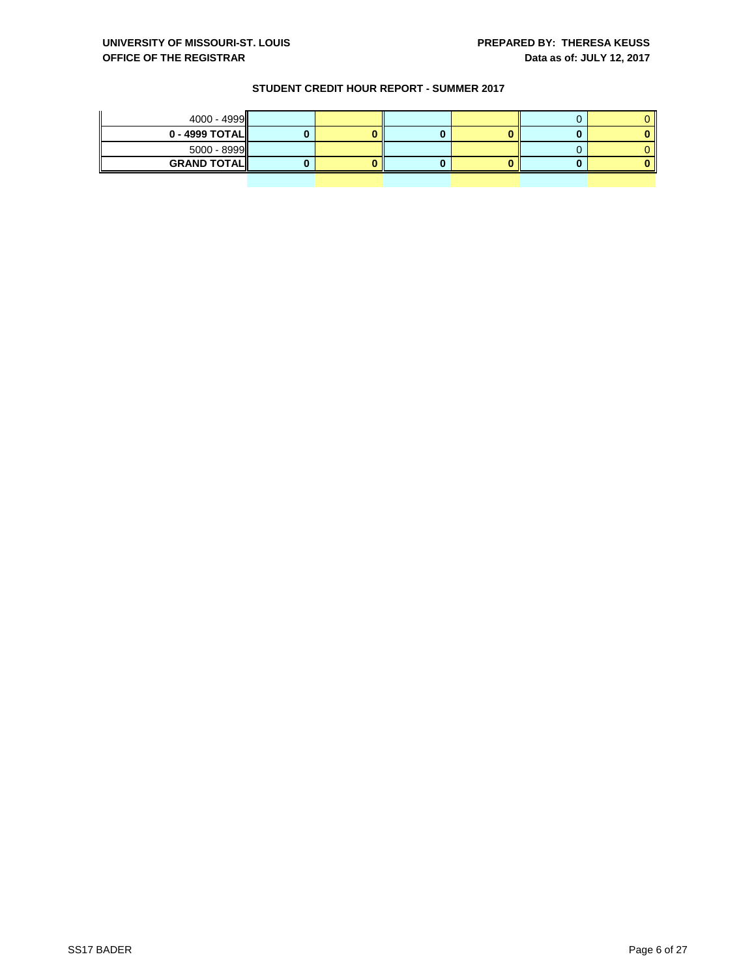| $0 - 4999$ TOTAL $\parallel$ |  |
|------------------------------|--|
|                              |  |
| $5000 - 8999$                |  |
| <b>GRAND TOTALI</b>          |  |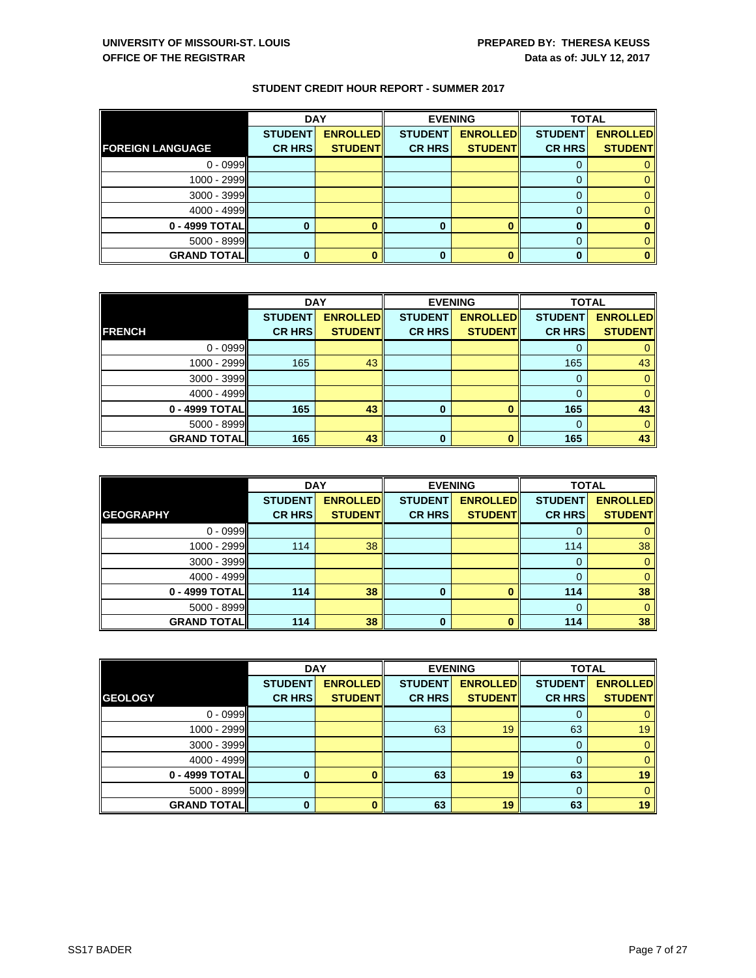|                         |                | <b>DAY</b>      |                | <b>EVENING</b>  | <b>TOTAL</b>   |                 |
|-------------------------|----------------|-----------------|----------------|-----------------|----------------|-----------------|
|                         | <b>STUDENT</b> | <b>ENROLLED</b> | <b>STUDENT</b> | <b>ENROLLED</b> | <b>STUDENT</b> | <b>ENROLLED</b> |
| <b>FOREIGN LANGUAGE</b> | <b>CR HRS</b>  | <b>STUDENT</b>  | <b>CR HRS</b>  | <b>STUDENT</b>  | <b>CR HRS</b>  | <b>STUDENT</b>  |
| $0 - 0999$              |                |                 |                |                 |                |                 |
| 1000 - 2999             |                |                 |                |                 |                |                 |
| 3000 - 3999             |                |                 |                |                 |                |                 |
| 4000 - 4999             |                |                 |                |                 |                |                 |
| 0 - 4999 TOTAL          | 0              |                 | 0              |                 | 0              |                 |
| $5000 - 8999$           |                |                 |                |                 |                |                 |
| <b>GRAND TOTAL</b>      | 0              |                 | 0              |                 | 0              |                 |

|                    | <b>DAY</b>     |                 |                | <b>EVENING</b>  | <b>TOTAL</b>   |                 |
|--------------------|----------------|-----------------|----------------|-----------------|----------------|-----------------|
|                    | <b>STUDENT</b> | <b>ENROLLED</b> | <b>STUDENT</b> | <b>ENROLLED</b> | <b>STUDENT</b> | <b>ENROLLED</b> |
| <b>FRENCH</b>      | <b>CR HRS</b>  | <b>STUDENT</b>  | <b>CR HRS</b>  | <b>STUDENT</b>  | <b>CR HRS</b>  | <b>STUDENT</b>  |
| $0 - 0999$         |                |                 |                |                 |                |                 |
| 1000 - 2999        | 165            | 43              |                |                 | 165            | 43              |
| $3000 - 3999$      |                |                 |                |                 | $\Omega$       |                 |
| 4000 - 4999        |                |                 |                |                 |                |                 |
| 0 - 4999 TOTAL     | 165            | 43              | 0              |                 | 165            | 43              |
| 5000 - 8999        |                |                 |                |                 | $\Omega$       |                 |
| <b>GRAND TOTAL</b> | 165            | 43              | 0              |                 | 165            | 43              |

|                    | <b>DAY</b>     |                 | <b>EVENING</b> |                 | <b>TOTAL</b>   |                 |
|--------------------|----------------|-----------------|----------------|-----------------|----------------|-----------------|
|                    | <b>STUDENT</b> | <b>ENROLLED</b> | <b>STUDENT</b> | <b>ENROLLED</b> | <b>STUDENT</b> | <b>ENROLLED</b> |
| <b>GEOGRAPHY</b>   | <b>CR HRS</b>  | <b>STUDENT</b>  | <b>CR HRS</b>  | <b>STUDENT</b>  | <b>CR HRS</b>  | <b>STUDENT</b>  |
| $0 - 0999$         |                |                 |                |                 | 0              | 0               |
| 1000 - 2999        | 114            | 38              |                |                 | 114            | 38              |
| $3000 - 3999$      |                |                 |                |                 | 0              | 0               |
| 4000 - 4999        |                |                 |                |                 | 0              | $\mathbf{0}$    |
| 0 - 4999 TOTAL     | 114            | 38              | $\bf{0}$       |                 | 114            | 38              |
| $5000 - 8999$      |                |                 |                |                 | $\Omega$       | 0               |
| <b>GRAND TOTAL</b> | 114            | 38              | 0              |                 | 114            | 38              |

|                     | <b>DAY</b>                      |                                   |                                 | <b>EVENING</b>                    | <b>TOTAL</b>                    |                                   |
|---------------------|---------------------------------|-----------------------------------|---------------------------------|-----------------------------------|---------------------------------|-----------------------------------|
| <b>GEOLOGY</b>      | <b>STUDENT</b><br><b>CR HRS</b> | <b>ENROLLED</b><br><b>STUDENT</b> | <b>STUDENT</b><br><b>CR HRS</b> | <b>ENROLLED</b><br><b>STUDENT</b> | <b>STUDENT</b><br><b>CR HRS</b> | <b>ENROLLED</b><br><b>STUDENT</b> |
|                     |                                 |                                   |                                 |                                   |                                 |                                   |
| $0 - 0999$          |                                 |                                   |                                 |                                   |                                 | 0                                 |
| 1000 - 2999         |                                 |                                   | 63                              | 19                                | 63                              | 19                                |
| $3000 - 3999$       |                                 |                                   |                                 |                                   |                                 | $\mathbf{0}$                      |
| $4000 - 4999$       |                                 |                                   |                                 |                                   |                                 | $\mathbf{0}$                      |
| 0 - 4999 TOTAL      | 0                               |                                   | 63                              | 19                                | 63                              | 19                                |
| $5000 - 8999$       |                                 |                                   |                                 |                                   | 0                               | $\mathbf{0}$                      |
| <b>GRAND TOTALI</b> | 0                               |                                   | 63                              | 19                                | 63                              | 19                                |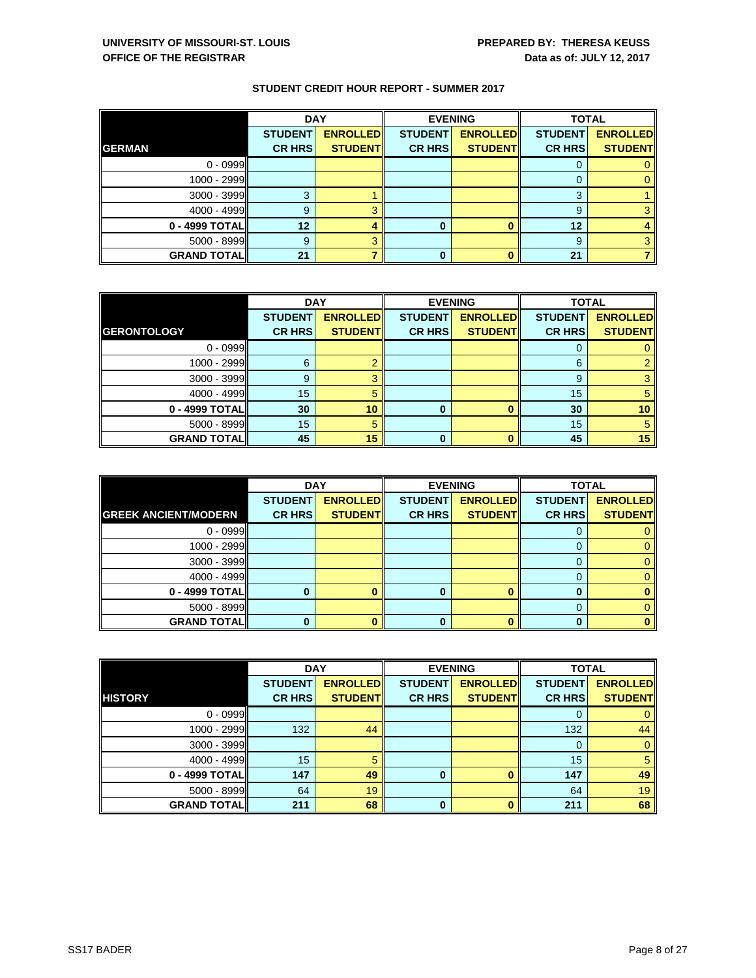|                    | <b>DAY</b>     |                 |                | <b>EVENING</b>  | <b>TOTAL</b>   |                 |
|--------------------|----------------|-----------------|----------------|-----------------|----------------|-----------------|
|                    | <b>STUDENT</b> | <b>ENROLLED</b> | <b>STUDENT</b> | <b>ENROLLED</b> | <b>STUDENT</b> | <b>ENROLLED</b> |
| <b>GERMAN</b>      | <b>CR HRS</b>  | <b>STUDENT</b>  | <b>CR HRS</b>  | <b>STUDENT</b>  | <b>CR HRS</b>  | <b>STUDENT</b>  |
| $0 - 0999$         |                |                 |                |                 |                |                 |
| 1000 - 2999        |                |                 |                |                 |                |                 |
| $3000 - 3999$      | 3              |                 |                |                 | 3              |                 |
| 4000 - 4999        | 9              |                 |                |                 | 9              |                 |
| 0 - 4999 TOTAL     | 12             |                 | 0              |                 | 12             |                 |
| 5000 - 8999        | 9              |                 |                |                 | 9              |                 |
| <b>GRAND TOTAL</b> | 21             |                 | 0              |                 | 21             |                 |

|                    | <b>DAY</b>     |                 | <b>EVENING</b> |                 | <b>TOTAL</b>   |                 |
|--------------------|----------------|-----------------|----------------|-----------------|----------------|-----------------|
|                    | <b>STUDENT</b> | <b>ENROLLED</b> | <b>STUDENT</b> | <b>ENROLLED</b> | <b>STUDENT</b> | <b>ENROLLED</b> |
| <b>GERONTOLOGY</b> | <b>CR HRS</b>  | <b>STUDENT</b>  | <b>CR HRS</b>  | <b>STUDENT</b>  | <b>CR HRS</b>  | <b>STUDENT</b>  |
| $0 - 0999$         |                |                 |                |                 | O              |                 |
| 1000 - 2999        | 6              |                 |                |                 | 6              |                 |
| 3000 - 3999        | 9              | з               |                |                 | 9              |                 |
| 4000 - 4999        | 15             | 5               |                |                 | 15             | 5               |
| 0 - 4999 TOTAL     | 30             | 10              | $\bf{0}$       |                 | 30             | 10              |
| 5000 - 8999        | 15             | 5               |                |                 | 15             | 5               |
| <b>GRAND TOTAL</b> | 45             | 15              | 0              |                 | 45             | 15              |

|                             | <b>DAY</b>     |                 | <b>EVENING</b> |                 | <b>TOTAL</b>   |                 |
|-----------------------------|----------------|-----------------|----------------|-----------------|----------------|-----------------|
|                             | <b>STUDENT</b> | <b>ENROLLED</b> | <b>STUDENT</b> | <b>ENROLLED</b> | <b>STUDENT</b> | <b>ENROLLED</b> |
| <b>GREEK ANCIENT/MODERN</b> | <b>CR HRS</b>  | <b>STUDENT</b>  | <b>CR HRS</b>  | <b>STUDENT</b>  | <b>CR HRS</b>  | <b>STUDENT</b>  |
| $0 - 0999$                  |                |                 |                |                 | U              |                 |
| 1000 - 2999                 |                |                 |                |                 |                |                 |
| $3000 - 3999$               |                |                 |                |                 |                |                 |
| $4000 - 4999$               |                |                 |                |                 | 0              |                 |
| 0 - 4999 TOTAL              |                |                 | n              |                 |                |                 |
| $5000 - 8999$               |                |                 |                |                 |                |                 |
| <b>GRAND TOTAL</b>          |                |                 |                |                 |                |                 |

|                     | <b>DAY</b>                      |                                   | <b>EVENING</b>                  |                                   | <b>TOTAL</b>                    |                                   |
|---------------------|---------------------------------|-----------------------------------|---------------------------------|-----------------------------------|---------------------------------|-----------------------------------|
| <b>HISTORY</b>      | <b>STUDENT</b><br><b>CR HRS</b> | <b>ENROLLED</b><br><b>STUDENT</b> | <b>STUDENT</b><br><b>CR HRS</b> | <b>ENROLLED</b><br><b>STUDENT</b> | <b>STUDENT</b><br><b>CR HRS</b> | <b>ENROLLED</b><br><b>STUDENT</b> |
| $0 - 0999$          |                                 |                                   |                                 |                                   |                                 |                                   |
|                     |                                 |                                   |                                 |                                   |                                 |                                   |
| 1000 - 2999         | 132                             | 44                                |                                 |                                   | 132                             | 44                                |
| 3000 - 3999         |                                 |                                   |                                 |                                   |                                 | $\mathbf{0}$                      |
| $4000 - 4999$       | 15 <sup>2</sup>                 |                                   |                                 |                                   | 15                              | 5                                 |
| 0 - 4999 TOTAL      | 147                             | 49                                | 0                               |                                   | 147                             | 49                                |
| 5000 - 8999         | 64                              | 19                                |                                 |                                   | 64                              | 19                                |
| <b>GRAND TOTALI</b> | 211                             | 68                                | 0                               |                                   | 211                             | 68                                |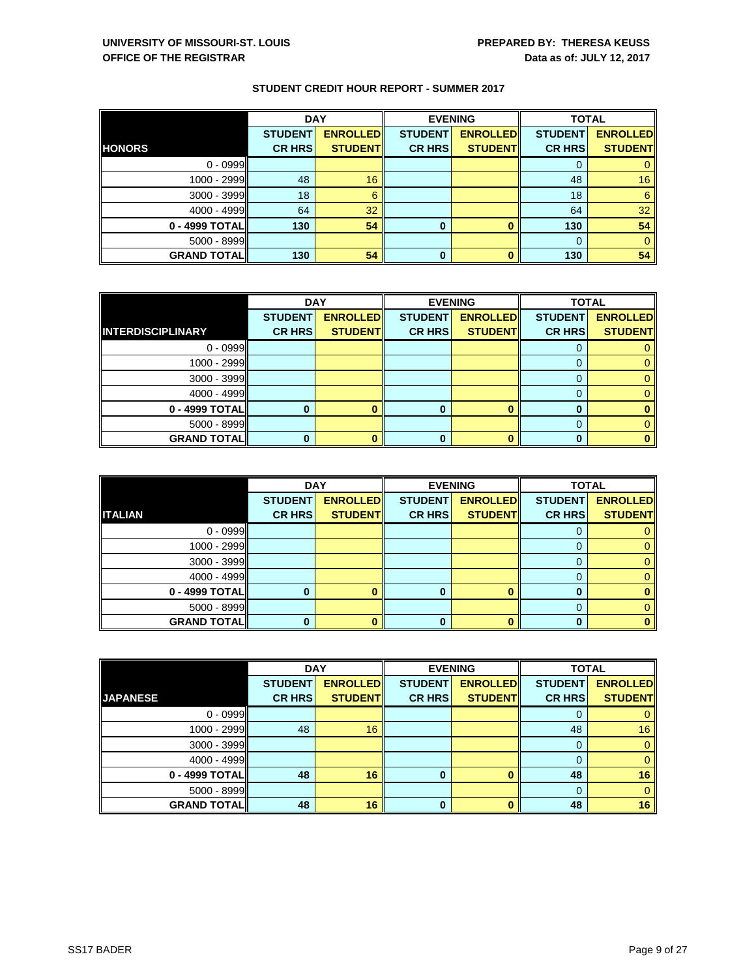|                    | <b>DAY</b>     |                 |                | <b>EVENING</b>  | <b>TOTAL</b>   |                 |
|--------------------|----------------|-----------------|----------------|-----------------|----------------|-----------------|
|                    | <b>STUDENT</b> | <b>ENROLLED</b> | <b>STUDENT</b> | <b>ENROLLED</b> | <b>STUDENT</b> | <b>ENROLLED</b> |
| <b>HONORS</b>      | <b>CR HRS</b>  | <b>STUDENT</b>  | <b>CR HRS</b>  | <b>STUDENT</b>  | <b>CR HRS</b>  | <b>STUDENT</b>  |
| $0 - 0999$         |                |                 |                |                 | O              |                 |
| 1000 - 2999        | 48             | 16              |                |                 | 48             | 16              |
| 3000 - 3999        | 18             | 6               |                |                 | 18             | 6               |
| 4000 - 4999        | 64             | 32              |                |                 | 64             | 32              |
| 0 - 4999 TOTAL     | 130            | 54              | 0              |                 | 130            | 54              |
| 5000 - 8999        |                |                 |                |                 | $\Omega$       |                 |
| <b>GRAND TOTAL</b> | 130            | 54              | 0              |                 | 130            | 54              |

|                          | <b>DAY</b>     |                 |                | <b>EVENING</b>  | <b>TOTAL</b>   |                 |
|--------------------------|----------------|-----------------|----------------|-----------------|----------------|-----------------|
|                          | <b>STUDENT</b> | <b>ENROLLED</b> | <b>STUDENT</b> | <b>ENROLLED</b> | <b>STUDENT</b> | <b>ENROLLED</b> |
| <b>INTERDISCIPLINARY</b> | <b>CR HRS</b>  | <b>STUDENT</b>  | <b>CR HRS</b>  | <b>STUDENT</b>  | <b>CR HRS</b>  | <b>STUDENT</b>  |
| $0 - 0999$               |                |                 |                |                 |                |                 |
| 1000 - 2999              |                |                 |                |                 |                |                 |
| 3000 - 3999              |                |                 |                |                 |                |                 |
| 4000 - 4999              |                |                 |                |                 |                |                 |
| 0 - 4999 TOTAL           | 0              |                 | 0              |                 |                |                 |
| $5000 - 8999$            |                |                 |                |                 |                |                 |
| <b>GRAND TOTAL</b>       | 0              |                 | 0              |                 |                |                 |

|                    | <b>DAY</b>     |                 |                | <b>EVENING</b>  | <b>TOTAL</b>   |                 |
|--------------------|----------------|-----------------|----------------|-----------------|----------------|-----------------|
|                    | <b>STUDENT</b> | <b>ENROLLED</b> | <b>STUDENT</b> | <b>ENROLLED</b> | <b>STUDENT</b> | <b>ENROLLED</b> |
| <b>ITALIAN</b>     | <b>CR HRS</b>  | <b>STUDENT</b>  | <b>CR HRS</b>  | <b>STUDENT</b>  | <b>CR HRS</b>  | <b>STUDENT</b>  |
| $0 - 0999$         |                |                 |                |                 |                |                 |
| 1000 - 2999        |                |                 |                |                 |                |                 |
| 3000 - 3999        |                |                 |                |                 |                |                 |
| 4000 - 4999        |                |                 |                |                 | 0              |                 |
| 0 - 4999 TOTAL     | 0              |                 | n              |                 | 0              |                 |
| 5000 - 8999        |                |                 |                |                 |                |                 |
| <b>GRAND TOTAL</b> | 0              |                 |                |                 |                |                 |

|                     | <b>DAY</b>     |                 |                | <b>EVENING</b>  | <b>TOTAL</b>   |                 |
|---------------------|----------------|-----------------|----------------|-----------------|----------------|-----------------|
|                     | <b>STUDENT</b> | <b>ENROLLED</b> | <b>STUDENT</b> | <b>ENROLLED</b> | <b>STUDENT</b> | <b>ENROLLED</b> |
| <b>JAPANESE</b>     | <b>CR HRS</b>  | <b>STUDENT</b>  | <b>CR HRS</b>  | <b>STUDENT</b>  | <b>CR HRS</b>  | <b>STUDENT</b>  |
| $0 - 0999$          |                |                 |                |                 |                |                 |
| 1000 - 2999         | 48             | 16              |                |                 | 48             | 16              |
| 3000 - 3999         |                |                 |                |                 |                | $\mathbf{0}$    |
| $4000 - 4999$       |                |                 |                |                 |                | $\mathbf{0}$    |
| 0 - 4999 TOTAL      | 48             | 16              | 0              |                 | 48             | 16              |
| 5000 - 8999         |                |                 |                |                 |                | $\mathbf{0}$    |
| <b>GRAND TOTALI</b> | 48             | 16              | 0              |                 | 48             | 16              |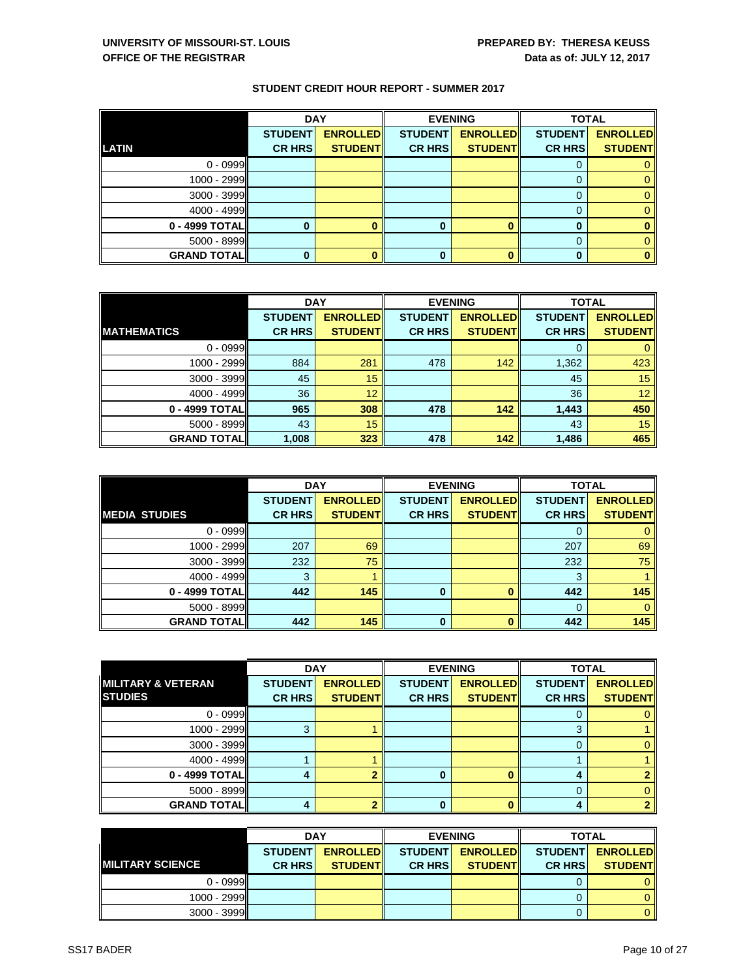|                    | <b>DAY</b>     |                 | <b>EVENING</b> |                 | <b>TOTAL</b>   |                 |
|--------------------|----------------|-----------------|----------------|-----------------|----------------|-----------------|
|                    | <b>STUDENT</b> | <b>ENROLLED</b> | <b>STUDENT</b> | <b>ENROLLED</b> | <b>STUDENT</b> | <b>ENROLLED</b> |
| <b>LATIN</b>       | <b>CR HRS</b>  | <b>STUDENT</b>  | <b>CR HRS</b>  | <b>STUDENT</b>  | <b>CR HRS</b>  | <b>STUDENT</b>  |
| $0 - 0999$         |                |                 |                |                 |                |                 |
| 1000 - 2999        |                |                 |                |                 |                |                 |
| 3000 - 3999        |                |                 |                |                 |                |                 |
| 4000 - 4999        |                |                 |                |                 | 0              |                 |
| 0 - 4999 TOTAL     | 0              |                 | 0              |                 | 0              |                 |
| $5000 - 8999$      |                |                 |                |                 |                |                 |
| <b>GRAND TOTAL</b> | 0              |                 | 0              |                 | $\bf{0}$       |                 |

|                     | <b>DAY</b>     |                  | <b>EVENING</b> |                 | <b>TOTAL</b>   |                 |
|---------------------|----------------|------------------|----------------|-----------------|----------------|-----------------|
|                     | <b>STUDENT</b> | <b>ENROLLEDI</b> | <b>STUDENT</b> | <b>ENROLLED</b> | <b>STUDENT</b> | <b>ENROLLED</b> |
| <b>IMATHEMATICS</b> | <b>CR HRS</b>  | <b>STUDENT</b>   | <b>CR HRS</b>  | <b>STUDENT</b>  | <b>CR HRS</b>  | <b>STUDENT</b>  |
| $0 - 0999$          |                |                  |                |                 |                |                 |
| 1000 - 2999         | 884            | 281              | 478            | 142             | 1,362          | 423             |
| 3000 - 3999         | 45             | 15               |                |                 | 45             | 15              |
| 4000 - 4999         | 36             | 12               |                |                 | 36             | 12              |
| 0 - 4999 TOTAL      | 965            | 308              | 478            | 142             | 1,443          | 450             |
| 5000 - 8999         | 43             | 15               |                |                 | 43             | 15              |
| <b>GRAND TOTAL</b>  | 1,008          | 323              | 478            | 142             | 1,486          | 465             |

|                     | <b>DAY</b>     |                 | <b>EVENING</b> |                 | <b>TOTAL</b>   |                 |
|---------------------|----------------|-----------------|----------------|-----------------|----------------|-----------------|
|                     | <b>STUDENT</b> | <b>ENROLLED</b> | <b>STUDENT</b> | <b>ENROLLED</b> | <b>STUDENT</b> | <b>ENROLLED</b> |
| IMEDIA STUDIES      | <b>CR HRS</b>  | <b>STUDENT</b>  | <b>CR HRS</b>  | <b>STUDENT</b>  | <b>CR HRS</b>  | <b>STUDENT</b>  |
| $0 - 0999$          |                |                 |                |                 | O              |                 |
| 1000 - 2999         | 207            | 69              |                |                 | 207            | 69              |
| $3000 - 3999$       | 232            | 75              |                |                 | 232            | 75              |
| $4000 - 4999$       | 3              |                 |                |                 | 3              |                 |
| 0 - 4999 TOTAL      | 442            | 145             | O              |                 | 442            | 145             |
| $5000 - 8999$       |                |                 |                |                 | $\Omega$       | 0               |
| <b>GRAND TOTALI</b> | 442            | 145             | $\mathbf 0$    |                 | 442            | 145             |

|                                                  | <b>DAY</b>                      |                                   |                                 | <b>EVENING</b>                     | <b>TOTAL</b>                    |                                   |
|--------------------------------------------------|---------------------------------|-----------------------------------|---------------------------------|------------------------------------|---------------------------------|-----------------------------------|
| <b>IMILITARY &amp; VETERAN</b><br><b>STUDIES</b> | <b>STUDENT</b><br><b>CR HRS</b> | <b>ENROLLED</b><br><b>STUDENT</b> | <b>STUDENT</b><br><b>CR HRS</b> | <b>ENROLLED</b><br><b>STUDENTI</b> | <b>STUDENT</b><br><b>CR HRS</b> | <b>ENROLLED</b><br><b>STUDENT</b> |
|                                                  |                                 |                                   |                                 |                                    |                                 |                                   |
| $0 - 0999$                                       |                                 |                                   |                                 |                                    |                                 |                                   |
| 1000 - 2999                                      | 3                               |                                   |                                 |                                    |                                 |                                   |
| 3000 - 3999                                      |                                 |                                   |                                 |                                    |                                 |                                   |
| 4000 - 4999                                      |                                 |                                   |                                 |                                    |                                 |                                   |
| 0 - 4999 TOTAL                                   |                                 |                                   |                                 |                                    |                                 |                                   |
| 5000 - 8999                                      |                                 |                                   |                                 |                                    |                                 |                                   |
| <b>GRAND TOTAL</b>                               |                                 |                                   | O                               |                                    |                                 |                                   |

|                          | <b>DAY</b>     |                 |                 | <b>EVENING</b>   | <b>TOTAL</b>    |                 |
|--------------------------|----------------|-----------------|-----------------|------------------|-----------------|-----------------|
|                          | <b>STUDENT</b> | <b>ENROLLED</b> | <b>STUDENTI</b> | <b>ENROLLEDI</b> | <b>STUDENTI</b> | <b>ENROLLED</b> |
| <b>INILITARY SCIENCE</b> | <b>CR HRSI</b> | <b>STUDENTI</b> | <b>CR HRSI</b>  | <b>STUDENTI</b>  | <b>CR HRS</b>   | <b>STUDENT</b>  |
| $0 - 0999$               |                |                 |                 |                  |                 | $\Omega$        |
| 1000 - 2999              |                |                 |                 |                  |                 | $\mathbf{0}$    |
| $3000 - 3999$            |                |                 |                 |                  |                 | $\Omega$        |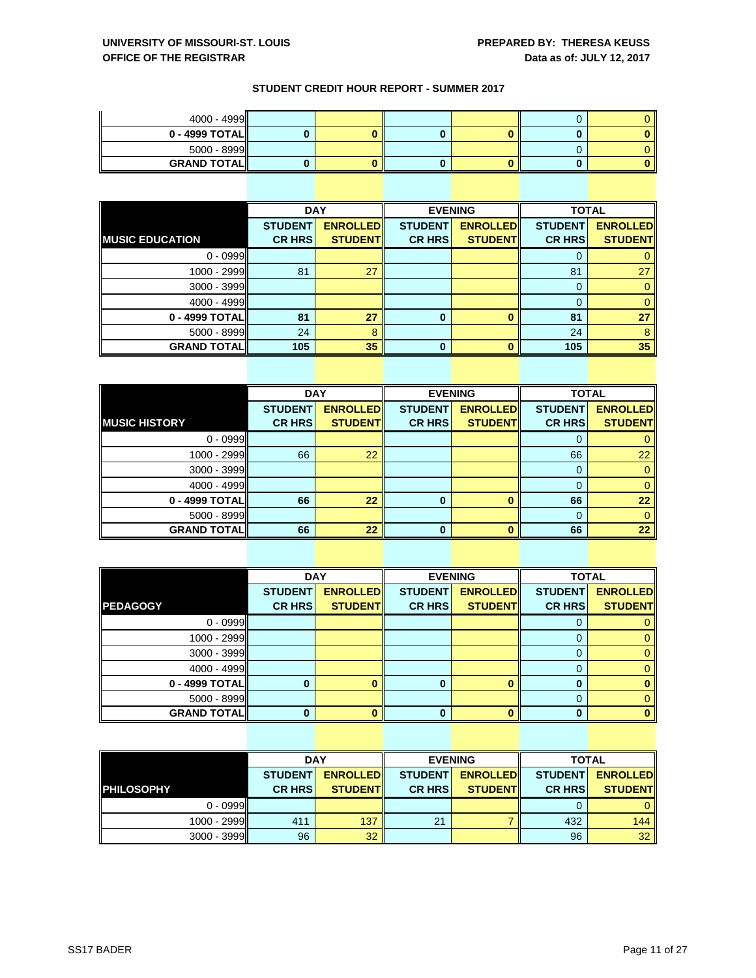| $4000 - 4999$                |  |  |  |
|------------------------------|--|--|--|
| $0 - 4999$ TOTAL $\parallel$ |  |  |  |
| $5000 - 8999$                |  |  |  |
| <b>GRAND TOTALI</b>          |  |  |  |

|                         | <b>DAY</b>                      |                                   |                                 | <b>EVENING</b>                    | <b>TOTAL</b>                    |                                   |
|-------------------------|---------------------------------|-----------------------------------|---------------------------------|-----------------------------------|---------------------------------|-----------------------------------|
| <b>INUSIC EDUCATION</b> | <b>STUDENT</b><br><b>CR HRS</b> | <b>ENROLLED</b><br><b>STUDENT</b> | <b>STUDENT</b><br><b>CR HRS</b> | <b>ENROLLED</b><br><b>STUDENT</b> | <b>STUDENT</b><br><b>CR HRS</b> | <b>ENROLLED</b><br><b>STUDENT</b> |
| $0 - 0999$              |                                 |                                   |                                 |                                   | U                               |                                   |
| 1000 - 2999             | 81                              | 27                                |                                 |                                   | 81                              | 27                                |
| 3000 - 3999             |                                 |                                   |                                 |                                   | 0                               |                                   |
| 4000 - 4999             |                                 |                                   |                                 |                                   |                                 |                                   |
| 0 - 4999 TOTAL          | 81                              | 27                                | 0                               |                                   | 81                              | 27                                |
| $5000 - 8999$           | 24                              | 8                                 |                                 |                                   | 24                              |                                   |
| <b>GRAND TOTAL</b>      | 105                             | 35                                | $\bf{0}$                        |                                   | 105                             | 35                                |

|                      | <b>DAY</b>     |                 |                | <b>EVENING</b>  |                | <b>TOTAL</b>    |  |
|----------------------|----------------|-----------------|----------------|-----------------|----------------|-----------------|--|
|                      | <b>STUDENT</b> | <b>ENROLLED</b> | <b>STUDENT</b> | <b>ENROLLED</b> | <b>STUDENT</b> | <b>ENROLLED</b> |  |
| <b>MUSIC HISTORY</b> | <b>CR HRS</b>  | <b>STUDENT</b>  | <b>CR HRS</b>  | <b>STUDENT</b>  | <b>CR HRS</b>  | <b>STUDENT</b>  |  |
| $0 - 0999$           |                |                 |                |                 | 0              |                 |  |
| 1000 - 2999          | 66             | 22              |                |                 | 66             | 22              |  |
| 3000 - 3999          |                |                 |                |                 | $\Omega$       | 0               |  |
| 4000 - 4999          |                |                 |                |                 | 0              |                 |  |
| 0 - 4999 TOTAL       | 66             | 22              | 0              |                 | 66             | 22              |  |
| 5000 - 8999          |                |                 |                |                 | $\Omega$       |                 |  |
| <b>GRAND TOTALI</b>  | 66             | 22              | 0              |                 | 66             | 22              |  |

|                    | <b>DAY</b>     |                 |                | <b>EVENING</b>  | <b>TOTAL</b>   |                 |
|--------------------|----------------|-----------------|----------------|-----------------|----------------|-----------------|
|                    | <b>STUDENT</b> | <b>ENROLLED</b> | <b>STUDENT</b> | <b>ENROLLED</b> | <b>STUDENT</b> | <b>ENROLLED</b> |
| <b>PEDAGOGY</b>    | <b>CR HRS</b>  | <b>STUDENT</b>  | <b>CR HRS</b>  | <b>STUDENT</b>  | <b>CR HRS</b>  | <b>STUDENT</b>  |
| $0 - 0999$         |                |                 |                |                 | O              |                 |
| 1000 - 2999        |                |                 |                |                 |                |                 |
| 3000 - 3999        |                |                 |                |                 |                |                 |
| 4000 - 4999        |                |                 |                |                 | 0              |                 |
| 0 - 4999 TOTAL     | 0              |                 | 0              |                 |                |                 |
| 5000 - 8999        |                |                 |                |                 |                |                 |
| <b>GRAND TOTAL</b> | 0              |                 | 0              |                 |                |                 |

|                   | <b>DAY</b>     |                 | <b>EVENING</b> |                  | <b>TOTAL</b>    |                 |
|-------------------|----------------|-----------------|----------------|------------------|-----------------|-----------------|
|                   | <b>STUDENT</b> | <b>ENROLLED</b> | <b>STUDENT</b> | <b>ENROLLEDI</b> | <b>STUDENTI</b> | <b>ENROLLED</b> |
| <b>PHILOSOPHY</b> | <b>CR HRSI</b> | <b>STUDENTI</b> | <b>CR HRSI</b> | <b>STUDENT</b>   | <b>CR HRS</b>   | <b>STUDENT</b>  |
| $0 - 0999$        |                |                 |                |                  |                 |                 |
| 1000 - 2999       | 411            | 137             | 21             |                  | 432             | 144             |
| $3000 - 3999$     | 96             | 32              |                |                  | 96              | 32              |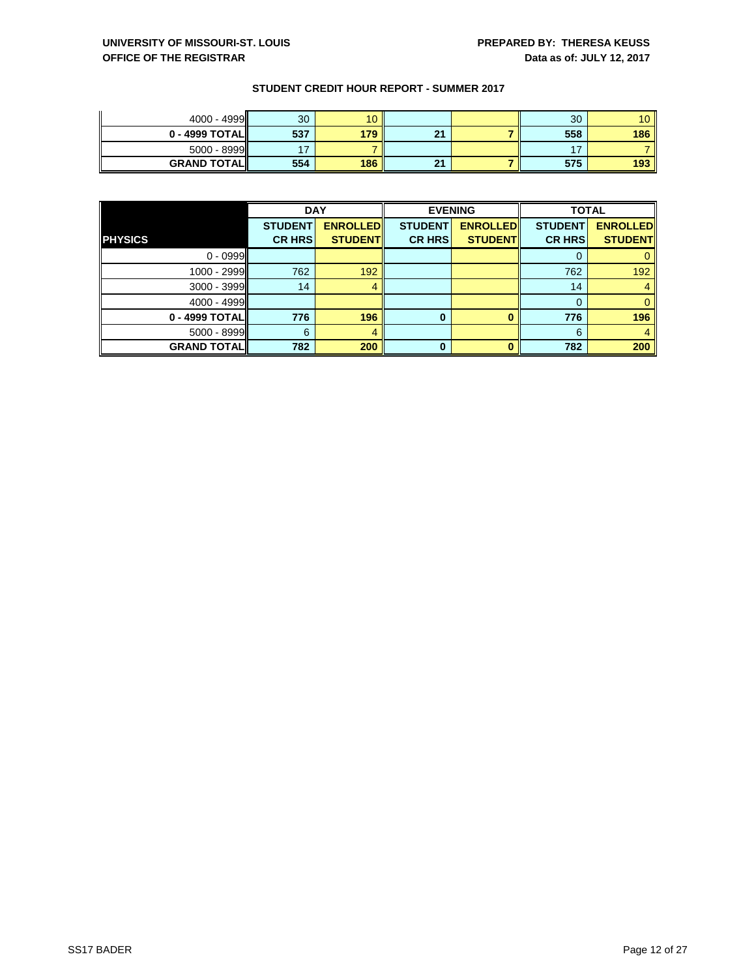| $4000 - 4999$       | 30  | 10 <sup>°</sup> |           | 30  | 10 <sup>°</sup> |
|---------------------|-----|-----------------|-----------|-----|-----------------|
| $0 - 4999$ TOTAL    | 537 | 179             | 94<br>e i | 558 | 186             |
| $5000 - 8999$       |     |                 |           | . – |                 |
| <b>GRAND TOTALI</b> | 554 | 186             | 21        | 575 | 193             |

|                    | <b>DAY</b>     |                 |                | <b>EVENING</b>  | <b>TOTAL</b>   |                 |
|--------------------|----------------|-----------------|----------------|-----------------|----------------|-----------------|
|                    | <b>STUDENT</b> | <b>ENROLLED</b> | <b>STUDENT</b> | <b>ENROLLED</b> | <b>STUDENT</b> | <b>ENROLLED</b> |
| <b>PHYSICS</b>     | <b>CR HRS</b>  | <b>STUDENT</b>  | <b>CR HRS</b>  | <b>STUDENT</b>  | <b>CR HRS</b>  | <b>STUDENT</b>  |
| $0 - 0999$         |                |                 |                |                 | O              |                 |
| 1000 - 2999        | 762            | 192             |                |                 | 762            | 192             |
| 3000 - 3999        | 14             |                 |                |                 | 14             |                 |
| 4000 - 4999        |                |                 |                |                 | 0              | 0               |
| 0 - 4999 TOTAL     | 776            | 196             | 0              |                 | 776            | 196             |
| 5000 - 8999        | 6              |                 |                |                 | 6              |                 |
| <b>GRAND TOTAL</b> | 782            | 200             | 0              |                 | 782            | 200             |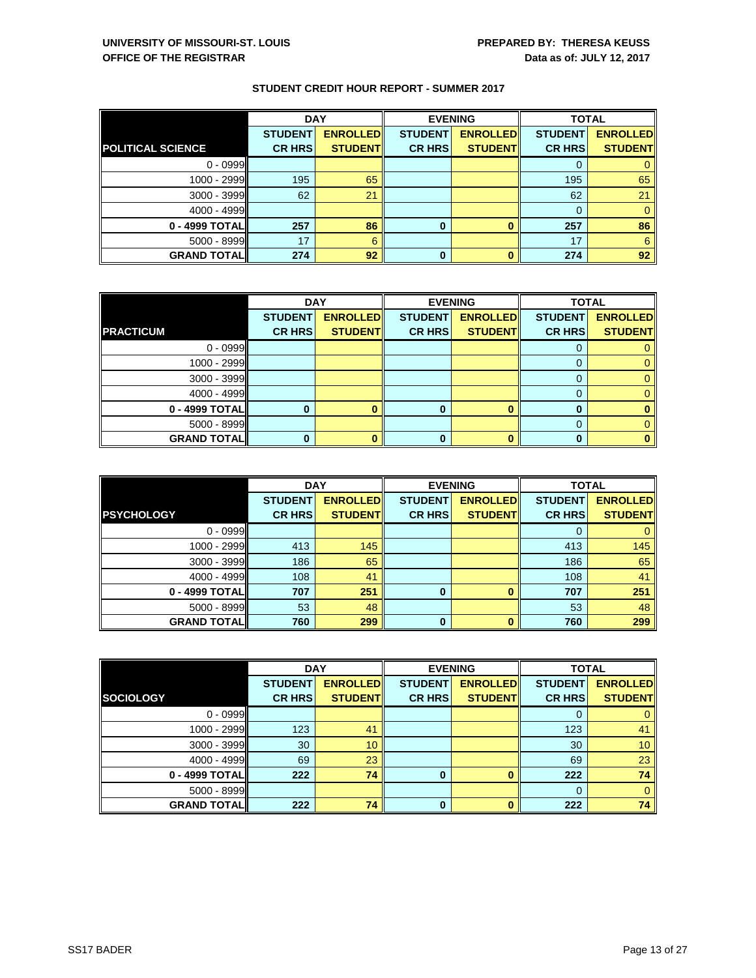|                          | <b>DAY</b>     |                 |                | <b>EVENING</b>  | <b>TOTAL</b>   |                 |
|--------------------------|----------------|-----------------|----------------|-----------------|----------------|-----------------|
|                          | <b>STUDENT</b> | <b>ENROLLED</b> | <b>STUDENT</b> | <b>ENROLLED</b> | <b>STUDENT</b> | <b>ENROLLED</b> |
| <b>POLITICAL SCIENCE</b> | <b>CR HRS</b>  | <b>STUDENT</b>  | <b>CR HRS</b>  | <b>STUDENT</b>  | <b>CR HRS</b>  | <b>STUDENT</b>  |
| $0 - 0999$               |                |                 |                |                 |                |                 |
| 1000 - 2999              | 195            | 65              |                |                 | 195            | 65              |
| 3000 - 3999              | 62             | 21              |                |                 | 62             | 21              |
| 4000 - 4999              |                |                 |                |                 |                |                 |
| 0 - 4999 TOTAL           | 257            | 86              | 0              |                 | 257            | 86              |
| $5000 - 8999$            | 17             | 6               |                |                 | 17             | 6               |
| <b>GRAND TOTAL</b>       | 274            | 92              | 0              |                 | 274            | 92              |

|                    | <b>DAY</b>     |                 |                | <b>EVENING</b>  | <b>TOTAL</b>   |                 |
|--------------------|----------------|-----------------|----------------|-----------------|----------------|-----------------|
|                    | <b>STUDENT</b> | <b>ENROLLED</b> | <b>STUDENT</b> | <b>ENROLLED</b> | <b>STUDENT</b> | <b>ENROLLED</b> |
| <b>PRACTICUM</b>   | <b>CR HRS</b>  | <b>STUDENT</b>  | <b>CR HRS</b>  | <b>STUDENT</b>  | <b>CR HRS</b>  | <b>STUDENT</b>  |
| $0 - 0999$         |                |                 |                |                 |                |                 |
| 1000 - 2999        |                |                 |                |                 |                |                 |
| $3000 - 3999$      |                |                 |                |                 |                |                 |
| $4000 - 4999$      |                |                 |                |                 |                |                 |
| 0 - 4999 TOTAL     | 0              |                 | $\bf{0}$       |                 | ŋ              |                 |
| $5000 - 8999$      |                |                 |                |                 |                |                 |
| <b>GRAND TOTAL</b> | 0              |                 | 0              |                 |                |                 |

|                     | <b>DAY</b>     |                 | <b>EVENING</b> |                 | <b>TOTAL</b>   |                 |
|---------------------|----------------|-----------------|----------------|-----------------|----------------|-----------------|
|                     | <b>STUDENT</b> | <b>ENROLLED</b> | <b>STUDENT</b> | <b>ENROLLED</b> | <b>STUDENT</b> | <b>ENROLLED</b> |
| <b>PSYCHOLOGY</b>   | <b>CR HRS</b>  | <b>STUDENT</b>  | <b>CR HRS</b>  | <b>STUDENT</b>  | <b>CR HRS</b>  | <b>STUDENT</b>  |
| $0 - 0999$          |                |                 |                |                 | 0              | 0               |
| 1000 - 2999         | 413            | 145             |                |                 | 413            | 145             |
| 3000 - 3999         | 186            | 65              |                |                 | 186            | 65              |
| 4000 - 4999         | 108            | 41              |                |                 | 108            | 41              |
| 0 - 4999 TOTALI     | 707            | 251             | $\bf{0}$       |                 | 707            | 251             |
| $5000 - 8999$       | 53             | 48              |                |                 | 53             | 48              |
| <b>GRAND TOTALI</b> | 760            | 299             | 0              |                 | 760            | 299             |

|                     | <b>DAY</b>     |                 |                | <b>EVENING</b>  | <b>TOTAL</b>   |                 |
|---------------------|----------------|-----------------|----------------|-----------------|----------------|-----------------|
|                     | <b>STUDENT</b> | <b>ENROLLED</b> | <b>STUDENT</b> | <b>ENROLLED</b> | <b>STUDENT</b> | <b>ENROLLED</b> |
| <b>SOCIOLOGY</b>    | <b>CR HRS</b>  | <b>STUDENT</b>  | <b>CR HRS</b>  | <b>STUDENT</b>  | <b>CR HRS</b>  | <b>STUDENT</b>  |
| $0 - 0999$          |                |                 |                |                 | 0              |                 |
| 1000 - 2999         | 123            | 41              |                |                 | 123            | 41              |
| 3000 - 3999         | 30             | 10              |                |                 | 30             | 10 <sup>°</sup> |
| $4000 - 4999$       | 69             | 23              |                |                 | 69             | 23              |
| 0 - 4999 TOTAL      | 222            | 74              | 0              |                 | 222            | 74              |
| 5000 - 8999         |                |                 |                |                 | 0              | 0               |
| <b>GRAND TOTALI</b> | 222            | 74              | 0              |                 | 222            | 74              |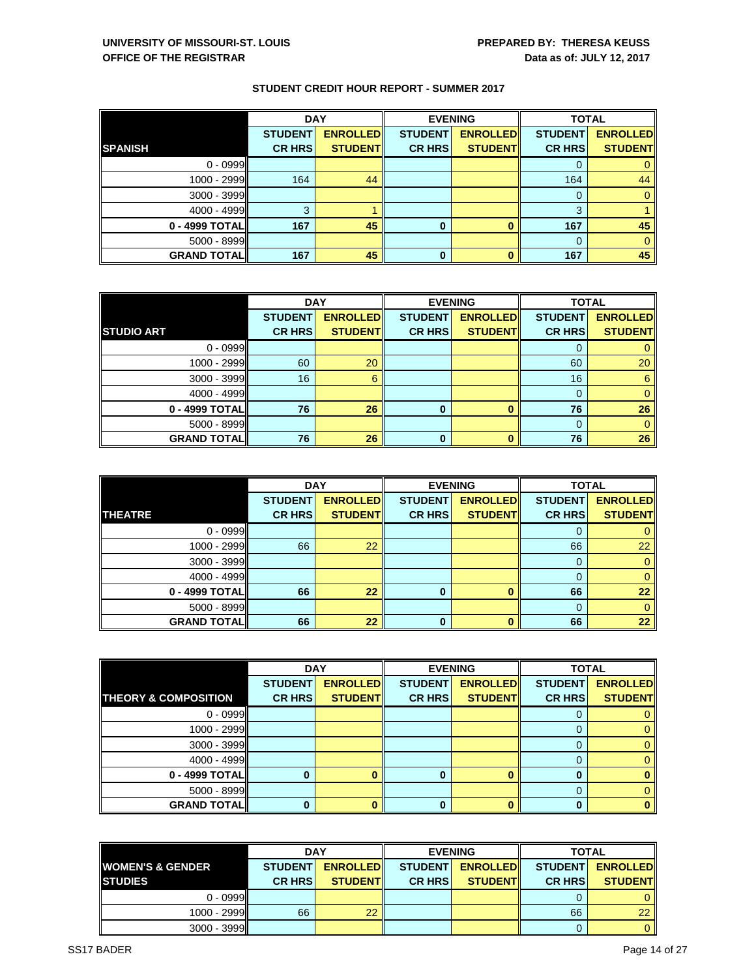|                    | <b>DAY</b>     |                 | <b>EVENING</b> |                 | <b>TOTAL</b>   |                 |
|--------------------|----------------|-----------------|----------------|-----------------|----------------|-----------------|
|                    | <b>STUDENT</b> | <b>ENROLLED</b> | <b>STUDENT</b> | <b>ENROLLED</b> | <b>STUDENT</b> | <b>ENROLLED</b> |
| <b>SPANISH</b>     | <b>CR HRS</b>  | <b>STUDENT</b>  | <b>CR HRS</b>  | <b>STUDENT</b>  | <b>CR HRS</b>  | <b>STUDENT</b>  |
| $0 - 0999$         |                |                 |                |                 | O              |                 |
| 1000 - 2999        | 164            | 44              |                |                 | 164            | 44              |
| 3000 - 3999        |                |                 |                |                 | $\Omega$       | $\Omega$        |
| 4000 - 4999        | 3              |                 |                |                 | 3              |                 |
| 0 - 4999 TOTAL     | 167            | 45              | 0              |                 | 167            | 45              |
| 5000 - 8999        |                |                 |                |                 | $\Omega$       | 0               |
| <b>GRAND TOTAL</b> | 167            | 45              | 0              |                 | 167            | 45              |

|                    | <b>DAY</b>     |                 |                | <b>EVENING</b>  | <b>TOTAL</b>   |                 |
|--------------------|----------------|-----------------|----------------|-----------------|----------------|-----------------|
|                    | <b>STUDENT</b> | <b>ENROLLED</b> | <b>STUDENT</b> | <b>ENROLLED</b> | <b>STUDENT</b> | <b>ENROLLED</b> |
| <b>STUDIO ART</b>  | <b>CR HRS</b>  | <b>STUDENT</b>  | <b>CR HRS</b>  | <b>STUDENT</b>  | <b>CR HRS</b>  | <b>STUDENT</b>  |
| $0 - 0999$         |                |                 |                |                 |                |                 |
| 1000 - 2999        | 60             | 20              |                |                 | 60             | 20              |
| $3000 - 3999$      | 16             | 6               |                |                 | 16             | 6               |
| 4000 - 4999        |                |                 |                |                 |                |                 |
| 0 - 4999 TOTAL     | 76             | 26              | $\bf{0}$       |                 | 76             | 26              |
| 5000 - 8999        |                |                 |                |                 | $\Omega$       |                 |
| <b>GRAND TOTAL</b> | 76             | 26              | $\bf{0}$       |                 | 76             | 26              |

|                    | <b>DAY</b>     |                 |                | <b>EVENING</b>  | <b>TOTAL</b>   |                 |
|--------------------|----------------|-----------------|----------------|-----------------|----------------|-----------------|
|                    | <b>STUDENT</b> | <b>ENROLLED</b> | <b>STUDENT</b> | <b>ENROLLED</b> | <b>STUDENT</b> | <b>ENROLLED</b> |
| <b>THEATRE</b>     | <b>CR HRS</b>  | <b>STUDENT</b>  | <b>CR HRS</b>  | <b>STUDENT</b>  | <b>CR HRS</b>  | <b>STUDENT</b>  |
| $0 - 0999$         |                |                 |                |                 | 0              |                 |
| 1000 - 2999        | 66             | 22              |                |                 | 66             | 22              |
| $3000 - 3999$      |                |                 |                |                 | $\Omega$       | 0               |
| $4000 - 4999$      |                |                 |                |                 | 0              | $\mathbf{0}$    |
| 0 - 4999 TOTAL     | 66             | 22              | $\Omega$       |                 | 66             | 22              |
| $5000 - 8999$      |                |                 |                |                 | $\Omega$       | 0               |
| <b>GRAND TOTAL</b> | 66             | 22              | $\mathbf 0$    |                 | 66             | 22              |

|                                 | <b>DAY</b>     |                 | <b>EVENING</b> |                 | <b>TOTAL</b>   |                 |
|---------------------------------|----------------|-----------------|----------------|-----------------|----------------|-----------------|
|                                 | <b>STUDENT</b> | <b>ENROLLED</b> | <b>STUDENT</b> | <b>ENROLLED</b> | <b>STUDENT</b> | <b>ENROLLED</b> |
| <b>THEORY &amp; COMPOSITION</b> | <b>CR HRS</b>  | <b>STUDENT</b>  | <b>CR HRS</b>  | <b>STUDENT</b>  | <b>CR HRS</b>  | <b>STUDENT</b>  |
| $0 - 0999$                      |                |                 |                |                 |                | 0               |
| 1000 - 2999                     |                |                 |                |                 |                | $\mathbf{0}$    |
| 3000 - 3999                     |                |                 |                |                 |                | $\Omega$        |
| 4000 - 4999                     |                |                 |                |                 |                | $\mathbf{0}$    |
| 0 - 4999 TOTAL                  |                |                 | 0              |                 |                | $\bf{0}$        |
| $5000 - 8999$                   |                |                 |                |                 |                | $\Omega$        |
| <b>GRAND TOTAL</b>              |                |                 |                |                 |                | $\bf{0}$        |

| <b>DAY</b>                  |                |                  | <b>EVENING</b>  | <b>TOTAL</b>     |                 |                 |
|-----------------------------|----------------|------------------|-----------------|------------------|-----------------|-----------------|
| <b>WOMEN'S &amp; GENDER</b> | <b>STUDENT</b> | <b>ENROLLEDI</b> | <b>STUDENTI</b> | <b>ENROLLEDI</b> | <b>STUDENTI</b> | <b>ENROLLED</b> |
| <b>STUDIES</b>              | <b>CR HRSI</b> | <b>STUDENTI</b>  | <b>CR HRSI</b>  | <b>STUDENTI</b>  | <b>CR HRS</b>   | <b>STUDENT</b>  |
| $0 - 0999$                  |                |                  |                 |                  |                 |                 |
| $1000 - 2999$               | 66             | 22               |                 |                  | 66              | 22              |
| $3000 - 3999$               |                |                  |                 |                  |                 | $\mathbf{0}$    |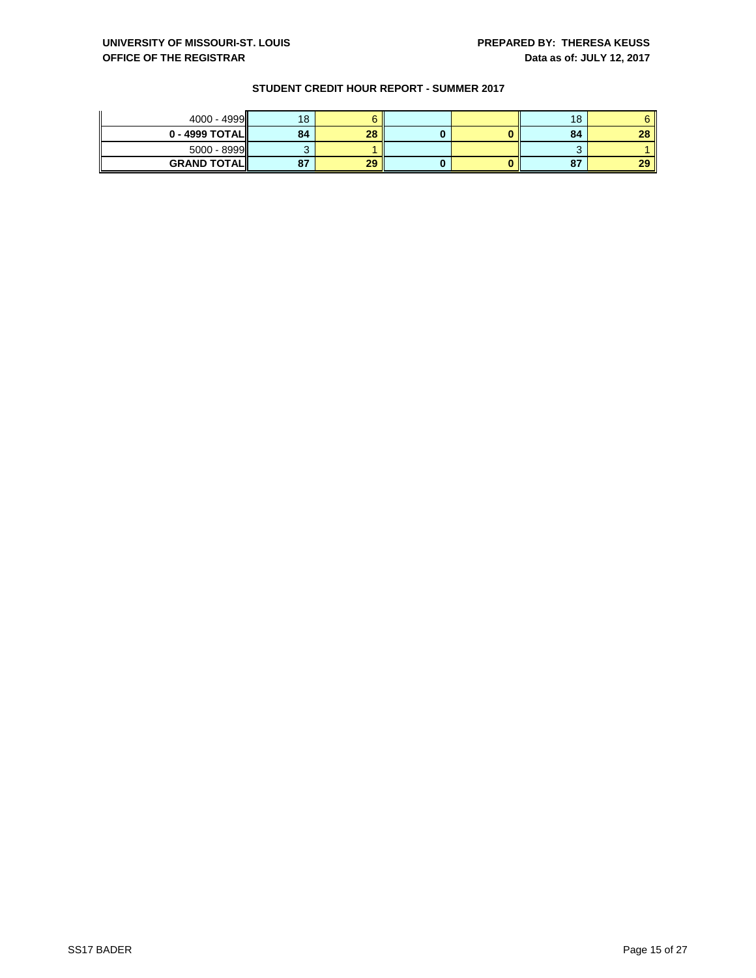| 4000 - 4999         | 18                 |    |  | 18 |        |
|---------------------|--------------------|----|--|----|--------|
| $0 - 4999$ TOTAL    | 84                 | 28 |  | 84 | $\sim$ |
| $5000 - 8999$       |                    |    |  |    |        |
| <b>GRAND TOTALI</b> | 07<br>$\mathbf{o}$ | 29 |  | 87 | ാറ     |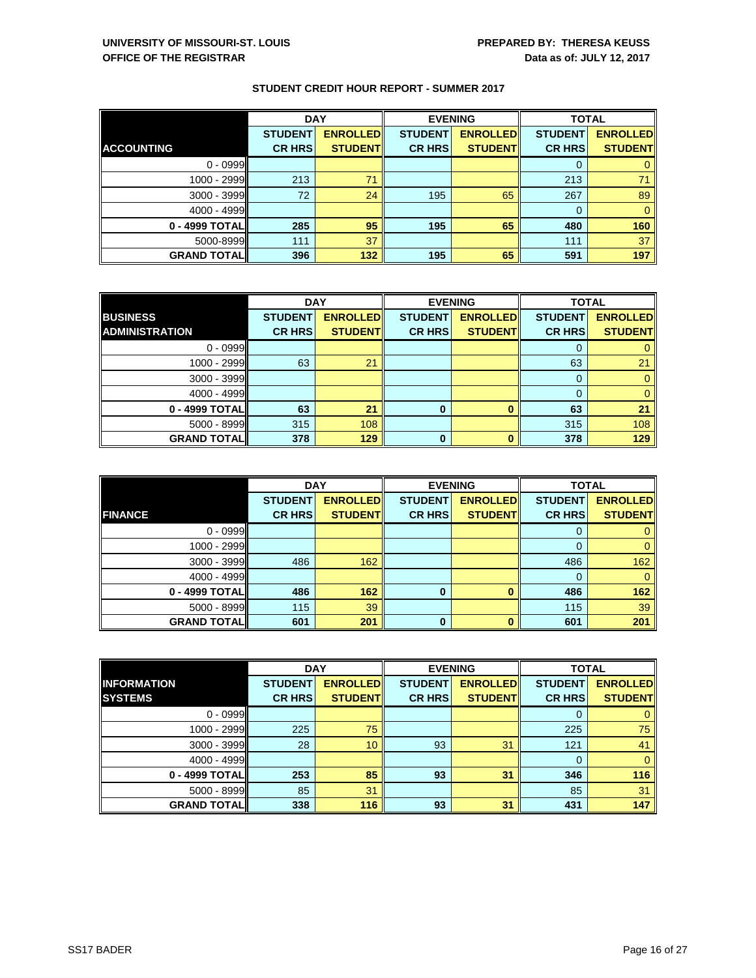|                     | <b>DAY</b>     |                 |                | <b>EVENING</b>  | <b>TOTAL</b>   |                 |
|---------------------|----------------|-----------------|----------------|-----------------|----------------|-----------------|
|                     | <b>STUDENT</b> | <b>ENROLLED</b> | <b>STUDENT</b> | <b>ENROLLED</b> | <b>STUDENT</b> | <b>ENROLLED</b> |
| <b>ACCOUNTING</b>   | <b>CR HRS</b>  | <b>STUDENT</b>  | <b>CR HRS</b>  | <b>STUDENT</b>  | <b>CR HRS</b>  | <b>STUDENT</b>  |
| $0 - 0999$          |                |                 |                |                 |                |                 |
| 1000 - 2999         | 213            | 71              |                |                 | 213            | 71              |
| $3000 - 3999$       | 72             | 24              | 195            | 65              | 267            | 89              |
| $4000 - 4999$       |                |                 |                |                 |                |                 |
| 0 - 4999 TOTALI     | 285            | 95              | 195            | 65              | 480            | 160             |
| 5000-8999           | 111            | 37              |                |                 | 111            | 37              |
| <b>GRAND TOTALI</b> | 396            | 132             | 195            | 65              | 591            | 197             |

|                       | <b>DAY</b>     |                 | <b>EVENING</b> |                 | <b>TOTAL</b>   |                 |
|-----------------------|----------------|-----------------|----------------|-----------------|----------------|-----------------|
| <b>BUSINESS</b>       | <b>STUDENT</b> | <b>ENROLLED</b> | <b>STUDENT</b> | <b>ENROLLED</b> | <b>STUDENT</b> | <b>ENROLLED</b> |
| <b>ADMINISTRATION</b> | <b>CR HRS</b>  | <b>STUDENTI</b> | <b>CR HRS</b>  | <b>STUDENT</b>  | <b>CR HRS</b>  | <b>STUDENT</b>  |
| $0 - 0999$            |                |                 |                |                 |                |                 |
| 1000 - 2999II         | 63             | 21              |                |                 | 63             | 21              |
| $3000 - 3999$         |                |                 |                |                 |                |                 |
| $4000 - 4999$         |                |                 |                |                 |                |                 |
| 0 - 4999 TOTAL        | 63             | 21              | $\bf{0}$       | Ω               | 63             | 21              |
| $5000 - 8999$         | 315            | 108             |                |                 | 315            | 108             |
| <b>GRAND TOTALI</b>   | 378            | 129             | $\bf{0}$       |                 | 378            | 129             |

|                     | <b>DAY</b>     |                 |                | <b>EVENING</b>  | <b>TOTAL</b>   |                 |
|---------------------|----------------|-----------------|----------------|-----------------|----------------|-----------------|
|                     | <b>STUDENT</b> | <b>ENROLLED</b> | <b>STUDENT</b> | <b>ENROLLED</b> | <b>STUDENT</b> | <b>ENROLLED</b> |
| <b>FINANCE</b>      | <b>CR HRS</b>  | <b>STUDENT</b>  | <b>CR HRS</b>  | <b>STUDENT</b>  | <b>CR HRS</b>  | <b>STUDENT</b>  |
| $0 - 0999$          |                |                 |                |                 | 0              | 0               |
| 1000 - 2999         |                |                 |                |                 | 0              | 0               |
| $3000 - 3999$       | 486            | 162             |                |                 | 486            | 162             |
| $4000 - 4999$       |                |                 |                |                 | 0              | $\mathbf{0}$    |
| 0 - 4999 TOTAL      | 486            | 162             | O              |                 | 486            | 162             |
| $5000 - 8999$       | 115            | 39              |                |                 | 115            | 39              |
| <b>GRAND TOTALI</b> | 601            | 201             | $\mathbf 0$    |                 | 601            | 201             |

|                     |                | <b>DAY</b><br><b>EVENING</b> |                |                 | <b>TOTAL</b>   |                 |
|---------------------|----------------|------------------------------|----------------|-----------------|----------------|-----------------|
| <b>INFORMATION</b>  | <b>STUDENT</b> | <b>ENROLLED</b>              | <b>STUDENT</b> | <b>ENROLLED</b> | <b>STUDENT</b> | <b>ENROLLED</b> |
| <b>SYSTEMS</b>      | <b>CR HRS</b>  | <b>STUDENT</b>               | <b>CR HRS</b>  | <b>STUDENT</b>  | <b>CR HRS</b>  | <b>STUDENT</b>  |
| $0 - 0999$          |                |                              |                |                 |                |                 |
| 1000 - 2999         | 225            | 75                           |                |                 | 225            | 75              |
| 3000 - 3999         | 28             | 10 <sup>°</sup>              | 93             | 31              | 121            | 41              |
| $4000 - 4999$       |                |                              |                |                 | 0              |                 |
| 0 - 4999 TOTAL      | 253            | 85                           | 93             | 31              | 346            | 116             |
| $5000 - 8999$       | 85             | 31                           |                |                 | 85             | 31              |
| <b>GRAND TOTALI</b> | 338            | 116                          | 93             | 31              | 431            | 147             |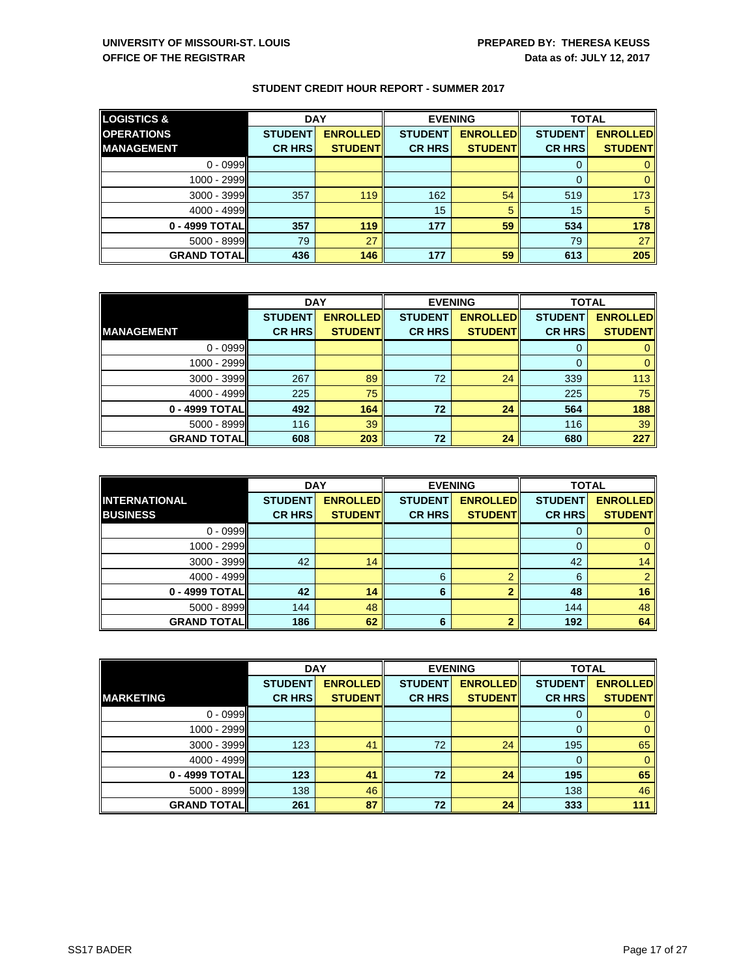| <b>LOGISTICS &amp;</b> | <b>DAY</b>     |                 |                | <b>EVENING</b>  | <b>TOTAL</b>   |                 |
|------------------------|----------------|-----------------|----------------|-----------------|----------------|-----------------|
| <b>OPERATIONS</b>      | <b>STUDENT</b> | <b>ENROLLED</b> | <b>STUDENT</b> | <b>ENROLLED</b> | <b>STUDENT</b> | <b>ENROLLED</b> |
| <b>MANAGEMENT</b>      | <b>CR HRS</b>  | <b>STUDENT</b>  | <b>CR HRS</b>  | <b>STUDENT</b>  | <b>CR HRS</b>  | <b>STUDENT</b>  |
| $0 - 0999$             |                |                 |                |                 |                |                 |
| 1000 - 2999            |                |                 |                |                 |                |                 |
| $3000 - 3999$          | 357            | 119             | 162            | 54              | 519            | 173             |
| 4000 - 4999            |                |                 | 15             | 5               | 15             |                 |
| 0 - 4999 TOTAL         | 357            | 119             | 177            | 59              | 534            | 178             |
| $5000 - 8999$          | 79             | 27              |                |                 | 79             | 27              |
| <b>GRAND TOTALI</b>    | 436            | 146             | 177            | 59              | 613            | 205             |

|                     | <b>DAY</b>     |                 |                | <b>EVENING</b>  | <b>TOTAL</b>   |                 |
|---------------------|----------------|-----------------|----------------|-----------------|----------------|-----------------|
|                     | <b>STUDENT</b> | <b>ENROLLED</b> | <b>STUDENT</b> | <b>ENROLLED</b> | <b>STUDENT</b> | <b>ENROLLED</b> |
| <b>IMANAGEMENT</b>  | <b>CR HRS</b>  | <b>STUDENT</b>  | <b>CR HRS</b>  | <b>STUDENT</b>  | <b>CR HRS</b>  | <b>STUDENT</b>  |
| $0 - 0999$          |                |                 |                |                 | 0              |                 |
| 1000 - 2999         |                |                 |                |                 |                |                 |
| 3000 - 3999         | 267            | 89              | 72             | 24              | 339            | 113             |
| 4000 - 4999         | 225            | 75              |                |                 | 225            | 75              |
| 0 - 4999 TOTAL      | 492            | 164             | 72             | 24              | 564            | 188             |
| $5000 - 8999$       | 116            | 39              |                |                 | 116            | 39              |
| <b>GRAND TOTALI</b> | 608            | 203             | 72             | 24              | 680            | 227             |

|                      | <b>DAY</b>     |                 | <b>EVENING</b> |                 | <b>TOTAL</b>   |                 |
|----------------------|----------------|-----------------|----------------|-----------------|----------------|-----------------|
| <b>INTERNATIONAL</b> | <b>STUDENT</b> | <b>ENROLLED</b> | <b>STUDENT</b> | <b>ENROLLED</b> | <b>STUDENT</b> | <b>ENROLLED</b> |
| <b>BUSINESS</b>      | <b>CR HRS</b>  | <b>STUDENT</b>  | <b>CR HRS</b>  | <b>STUDENT</b>  | <b>CR HRS</b>  | <b>STUDENT</b>  |
| $0 - 0999$           |                |                 |                |                 | 0              |                 |
| 1000 - 2999          |                |                 |                |                 |                | 0               |
| $3000 - 3999$        | 42             | 14              |                |                 | 42             | 14              |
| $4000 - 4999$        |                |                 | 6              | ⌒               | 6              |                 |
| 0 - 4999 TOTAL       | 42             | 14              | 6              | ◠               | 48             | 16              |
| $5000 - 8999$        | 144            | 48              |                |                 | 144            | 48              |
| <b>GRAND TOTALI</b>  | 186            | 62              | 6              |                 | 192            | 64              |

|                     | <b>DAY</b>     |                 |                | <b>EVENING</b>  | <b>TOTAL</b>   |                 |
|---------------------|----------------|-----------------|----------------|-----------------|----------------|-----------------|
|                     | <b>STUDENT</b> | <b>ENROLLED</b> | <b>STUDENT</b> | <b>ENROLLED</b> | <b>STUDENT</b> | <b>ENROLLED</b> |
| <b>MARKETING</b>    | <b>CR HRS</b>  | <b>STUDENT</b>  | <b>CR HRS</b>  | <b>STUDENT</b>  | <b>CR HRS</b>  | <b>STUDENT</b>  |
| $0 - 0999$          |                |                 |                |                 |                |                 |
| 1000 - 2999         |                |                 |                |                 |                | $\mathbf{0}$    |
| 3000 - 3999         | 123            | 41              | 72             | 24              | 195            | 65              |
| $4000 - 4999$       |                |                 |                |                 |                | $\mathbf{0}$    |
| 0 - 4999 TOTAL      | 123            | 41              | 72             | 24              | 195            | 65              |
| 5000 - 8999         | 138            | 46              |                |                 | 138            | 46              |
| <b>GRAND TOTALI</b> | 261            | 87              | 72             | 24              | 333            | 111             |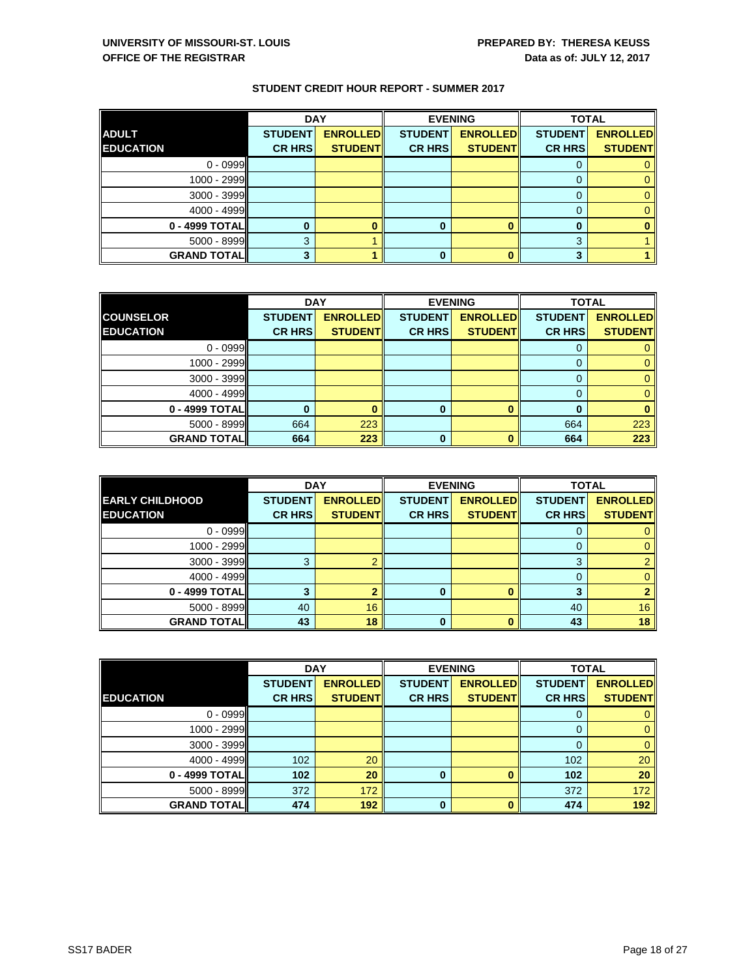|                     | <b>DAY</b>     |                 | <b>EVENING</b> |                 | <b>TOTAL</b>   |                 |
|---------------------|----------------|-----------------|----------------|-----------------|----------------|-----------------|
| <b>ADULT</b>        | <b>STUDENT</b> | <b>ENROLLED</b> | <b>STUDENT</b> | <b>ENROLLED</b> | <b>STUDENT</b> | <b>ENROLLED</b> |
| <b>EDUCATION</b>    | <b>CR HRS</b>  | <b>STUDENT</b>  | <b>CR HRS</b>  | <b>STUDENT</b>  | <b>CR HRS</b>  | <b>STUDENT</b>  |
| $0 - 0999$          |                |                 |                |                 |                |                 |
| 1000 - 2999         |                |                 |                |                 |                |                 |
| 3000 - 3999         |                |                 |                |                 |                | 0               |
| 4000 - 4999         |                |                 |                |                 |                |                 |
| 0 - 4999 TOTAL      |                |                 | 0              |                 |                |                 |
| 5000 - 8999         | 3              |                 |                |                 | 3              |                 |
| <b>GRAND TOTALI</b> | 3              |                 | 0              |                 | 3              |                 |

|                     | <b>DAY</b>     |                 |                | <b>EVENING</b>  |                | <b>TOTAL</b>    |  |
|---------------------|----------------|-----------------|----------------|-----------------|----------------|-----------------|--|
| <b>COUNSELOR</b>    | <b>STUDENT</b> | <b>ENROLLED</b> | <b>STUDENT</b> | <b>ENROLLED</b> | <b>STUDENT</b> | <b>ENROLLED</b> |  |
| <b>EDUCATION</b>    | <b>CR HRS</b>  | <b>STUDENT</b>  | <b>CR HRS</b>  | <b>STUDENT</b>  | <b>CR HRS</b>  | <b>STUDENT</b>  |  |
| $0 - 0999$          |                |                 |                |                 |                |                 |  |
| 1000 - 2999         |                |                 |                |                 |                | 0               |  |
| $3000 - 3999$       |                |                 |                |                 |                | 0               |  |
| 4000 - 4999         |                |                 |                |                 | 0              |                 |  |
| 0 - 4999 TOTAL      |                |                 | $\mathbf 0$    |                 |                |                 |  |
| 5000 - 8999         | 664            | 223             |                |                 | 664            | 223             |  |
| <b>GRAND TOTALI</b> | 664            | 223             | 0              |                 | 664            | 223             |  |

|                        | <b>DAY</b>     |                 |                | <b>EVENING</b>  | <b>TOTAL</b>   |                 |
|------------------------|----------------|-----------------|----------------|-----------------|----------------|-----------------|
| <b>EARLY CHILDHOOD</b> | <b>STUDENT</b> | <b>ENROLLED</b> | <b>STUDENT</b> | <b>ENROLLED</b> | <b>STUDENT</b> | <b>ENROLLED</b> |
| <b>EDUCATION</b>       | <b>CR HRS</b>  | <b>STUDENT</b>  | <b>CR HRS</b>  | <b>STUDENT</b>  | <b>CR HRS</b>  | <b>STUDENT</b>  |
| $0 - 0999$             |                |                 |                |                 | U              |                 |
| 1000 - 2999            |                |                 |                |                 |                |                 |
| 3000 - 3999            | 3              |                 |                |                 | 3              |                 |
| 4000 - 4999            |                |                 |                |                 | 0              |                 |
| 0 - 4999 TOTAL         | 3              |                 | O              |                 | 3              |                 |
| $5000 - 8999$          | 40             | 16              |                |                 | 40             | 16              |
| <b>GRAND TOTAL</b>     | 43             | 18              | 0              |                 | 43             | 18              |

|                     | <b>DAY</b>                      |                                   | <b>EVENING</b>                  |                                    | <b>TOTAL</b>                    |                                   |
|---------------------|---------------------------------|-----------------------------------|---------------------------------|------------------------------------|---------------------------------|-----------------------------------|
| <b>EDUCATION</b>    | <b>STUDENT</b><br><b>CR HRS</b> | <b>ENROLLED</b><br><b>STUDENT</b> | <b>STUDENT</b><br><b>CR HRS</b> | <b>ENROLLED</b><br><b>STUDENTI</b> | <b>STUDENT</b><br><b>CR HRS</b> | <b>ENROLLED</b><br><b>STUDENT</b> |
|                     |                                 |                                   |                                 |                                    |                                 |                                   |
| $0 - 0999$          |                                 |                                   |                                 |                                    |                                 | 0                                 |
| $1000 - 2999$       |                                 |                                   |                                 |                                    |                                 | $\mathbf{0}$                      |
| $3000 - 3999$       |                                 |                                   |                                 |                                    |                                 | $\mathbf{0}$                      |
| $4000 - 4999$       | 102                             | 20                                |                                 |                                    | 102                             | 20                                |
| 0 - 4999 TOTAL      | 102                             | 20                                | 0                               |                                    | 102                             | 20                                |
| 5000 - 8999         | 372                             | 172                               |                                 |                                    | 372                             | 172                               |
| <b>GRAND TOTALI</b> | 474                             | 192                               | 0                               |                                    | 474                             | 192                               |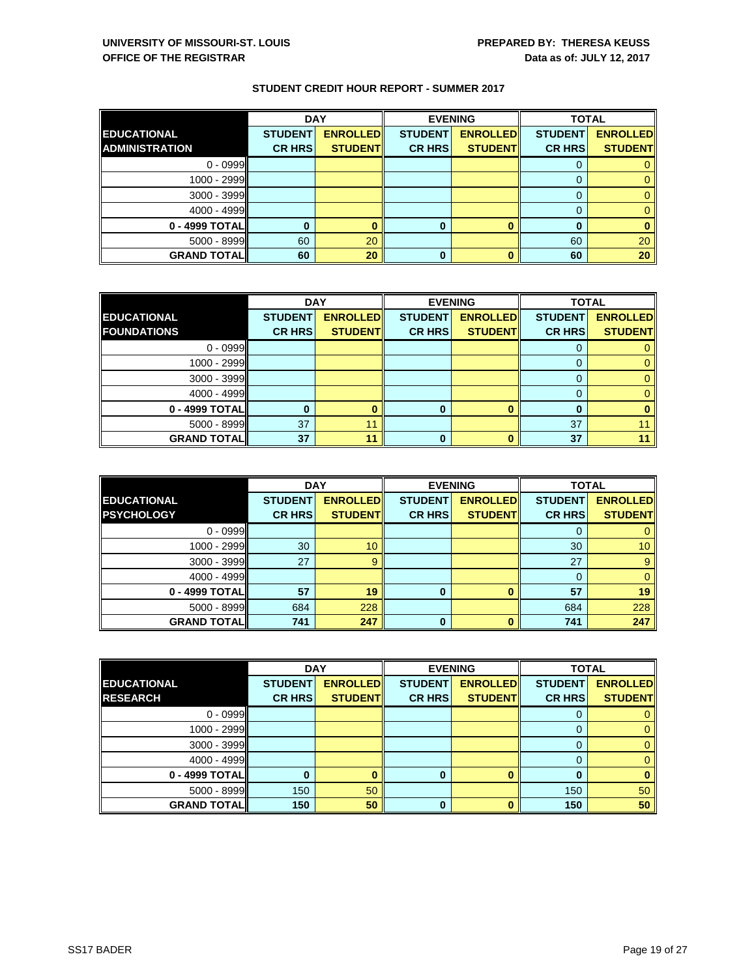|                       | <b>DAY</b>     |                 |                | <b>EVENING</b>  |                | <b>TOTAL</b>    |  |
|-----------------------|----------------|-----------------|----------------|-----------------|----------------|-----------------|--|
| <b>EDUCATIONAL</b>    | <b>STUDENT</b> | <b>ENROLLED</b> | <b>STUDENT</b> | <b>ENROLLED</b> | <b>STUDENT</b> | <b>ENROLLED</b> |  |
| <b>ADMINISTRATION</b> | <b>CR HRS</b>  | <b>STUDENT</b>  | <b>CR HRS</b>  | <b>STUDENTI</b> | <b>CR HRS</b>  | <b>STUDENT</b>  |  |
| $0 - 0999$            |                |                 |                |                 |                |                 |  |
| $1000 - 2999$         |                |                 |                |                 |                |                 |  |
| 3000 - 3999           |                |                 |                |                 |                |                 |  |
| 4000 - 4999           |                |                 |                |                 |                |                 |  |
| 0 - 4999 TOTAL        |                |                 | 0              |                 |                |                 |  |
| $5000 - 8999$         | 60             | 20              |                |                 | 60             | 20              |  |
| <b>GRAND TOTALI</b>   | 60             | 20              | 0              |                 | 60             | 20              |  |

|                     | <b>DAY</b>     |                 | <b>EVENING</b> |                 | <b>TOTAL</b>   |                 |
|---------------------|----------------|-----------------|----------------|-----------------|----------------|-----------------|
| <b>EDUCATIONAL</b>  | <b>STUDENT</b> | <b>ENROLLED</b> | <b>STUDENT</b> | <b>ENROLLED</b> | <b>STUDENT</b> | <b>ENROLLED</b> |
| <b>FOUNDATIONS</b>  | <b>CR HRS</b>  | <b>STUDENT</b>  | <b>CR HRS</b>  | <b>STUDENT</b>  | <b>CR HRS</b>  | <b>STUDENT</b>  |
| $0 - 0999$          |                |                 |                |                 |                |                 |
| 1000 - 2999         |                |                 |                |                 |                | o               |
| $3000 - 3999$       |                |                 |                |                 |                | O               |
| 4000 - 4999         |                |                 |                |                 |                |                 |
| 0 - 4999 TOTAL      |                |                 | 0              |                 |                |                 |
| 5000 - 8999         | 37             | 11              |                |                 | 37             |                 |
| <b>GRAND TOTALI</b> | 37             | 11              | 0              |                 | 37             |                 |

|                     | <b>DAY</b>     |                 | <b>EVENING</b> |                 | <b>TOTAL</b>   |                 |
|---------------------|----------------|-----------------|----------------|-----------------|----------------|-----------------|
| <b>EDUCATIONAL</b>  | <b>STUDENT</b> | <b>ENROLLED</b> | <b>STUDENT</b> | <b>ENROLLED</b> | <b>STUDENT</b> | <b>ENROLLED</b> |
| <b>PSYCHOLOGY</b>   | <b>CR HRS</b>  | <b>STUDENT</b>  | <b>CR HRS</b>  | <b>STUDENT</b>  | <b>CR HRS</b>  | <b>STUDENT</b>  |
| $0 - 0999$          |                |                 |                |                 | O              |                 |
| 1000 - 2999         | 30             | 10 <sup>°</sup> |                |                 | 30             | 10              |
| 3000 - 3999         | 27             | $\mathbf{9}$    |                |                 | 27             | 9               |
| 4000 - 4999         |                |                 |                |                 | 0              | $\Omega$        |
| 0 - 4999 TOTAL      | 57             | 19              | $\bf{0}$       |                 | 57             | 19              |
| 5000 - 8999         | 684            | 228             |                |                 | 684            | 228             |
| <b>GRAND TOTALI</b> | 741            | 247             | 0              |                 | 741            | 247             |

|                                        | <b>DAY</b>                      |                                   |                                 | <b>EVENING</b>                     | <b>TOTAL</b>                    |                                   |
|----------------------------------------|---------------------------------|-----------------------------------|---------------------------------|------------------------------------|---------------------------------|-----------------------------------|
| <b>IEDUCATIONAL</b><br><b>RESEARCH</b> | <b>STUDENT</b><br><b>CR HRS</b> | <b>ENROLLED</b><br><b>STUDENT</b> | <b>STUDENT</b><br><b>CR HRS</b> | <b>ENROLLED</b><br><b>STUDENTI</b> | <b>STUDENT</b><br><b>CR HRS</b> | <b>ENROLLED</b><br><b>STUDENT</b> |
|                                        |                                 |                                   |                                 |                                    |                                 |                                   |
| $0 - 0999$                             |                                 |                                   |                                 |                                    |                                 |                                   |
| $1000 - 2999$                          |                                 |                                   |                                 |                                    |                                 | 0                                 |
| $3000 - 3999$                          |                                 |                                   |                                 |                                    |                                 | $\Omega$                          |
| $4000 - 4999$                          |                                 |                                   |                                 |                                    |                                 | 0                                 |
| 0 - 4999 TOTAL                         |                                 |                                   | 0                               |                                    |                                 | $\bf{0}$                          |
| $5000 - 8999$                          | 150                             | 50                                |                                 |                                    | 150                             | 50                                |
| <b>GRAND TOTALI</b>                    | 150                             | 50                                | 0                               |                                    | 150                             | 50                                |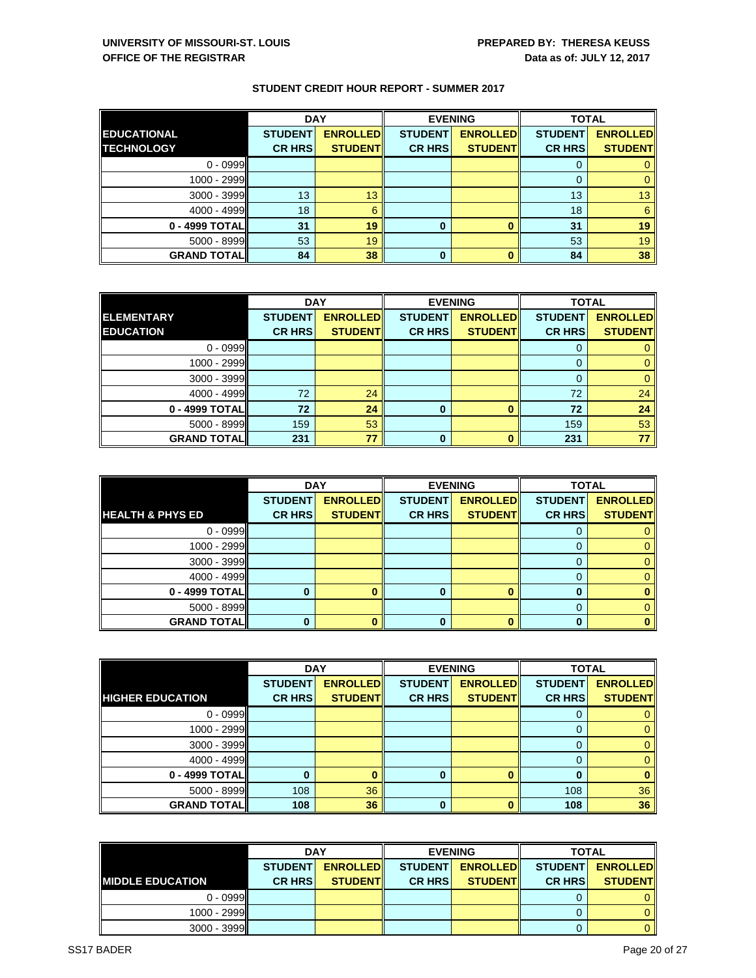|                     | <b>DAY</b>     |                 |                | <b>EVENING</b>  | <b>TOTAL</b>   |                 |
|---------------------|----------------|-----------------|----------------|-----------------|----------------|-----------------|
| <b>EDUCATIONAL</b>  | <b>STUDENT</b> | <b>ENROLLED</b> | <b>STUDENT</b> | <b>ENROLLED</b> | <b>STUDENT</b> | <b>ENROLLED</b> |
| <b>TECHNOLOGY</b>   | <b>CR HRS</b>  | <b>STUDENT</b>  | <b>CR HRS</b>  | <b>STUDENT</b>  | <b>CR HRS</b>  | <b>STUDENT</b>  |
| $0 - 0999$          |                |                 |                |                 | 0              |                 |
| 1000 - 2999         |                |                 |                |                 | 0              | 0               |
| 3000 - 3999         | 13             | 13              |                |                 | 13             | 13              |
| 4000 - 4999         | 18             | 6               |                |                 | 18             | 6               |
| 0 - 4999 TOTAL      | 31             | 19              | $\bf{0}$       |                 | 31             | 19              |
| $5000 - 8999$       | 53             | 19              |                |                 | 53             | 19              |
| <b>GRAND TOTALI</b> | 84             | 38              | $\bf{0}$       |                 | 84             | 38              |

|                    | <b>DAY</b>     |                 |                | <b>EVENING</b>  | <b>TOTAL</b>   |                 |
|--------------------|----------------|-----------------|----------------|-----------------|----------------|-----------------|
| <b>ELEMENTARY</b>  | <b>STUDENT</b> | <b>ENROLLED</b> | <b>STUDENT</b> | <b>ENROLLED</b> | <b>STUDENT</b> | <b>ENROLLED</b> |
| <b>EDUCATION</b>   | <b>CR HRS</b>  | <b>STUDENT</b>  | <b>CR HRS</b>  | <b>STUDENT</b>  | <b>CR HRS</b>  | <b>STUDENT</b>  |
| $0 - 0999$         |                |                 |                |                 | O              |                 |
| 1000 - 2999        |                |                 |                |                 |                |                 |
| $3000 - 3999$      |                |                 |                |                 |                |                 |
| 4000 - 4999        | 72             | 24              |                |                 | 72             | 24              |
| 0 - 4999 TOTALI    | 72             | 24              | 0              |                 | 72             | 24              |
| $5000 - 8999$      | 159            | 53              |                |                 | 159            | 53              |
| <b>GRAND TOTAL</b> | 231            | 77              | 0              |                 | 231            | 77              |

|                             | <b>DAY</b>     |                 | <b>EVENING</b> |                 | <b>TOTAL</b>   |                 |
|-----------------------------|----------------|-----------------|----------------|-----------------|----------------|-----------------|
|                             | <b>STUDENT</b> | <b>ENROLLED</b> | <b>STUDENT</b> | <b>ENROLLED</b> | <b>STUDENT</b> | <b>ENROLLED</b> |
| <b>HEALTH &amp; PHYS ED</b> | <b>CR HRS</b>  | <b>STUDENT</b>  | <b>CR HRS</b>  | <b>STUDENT</b>  | <b>CR HRS</b>  | <b>STUDENT</b>  |
| $0 - 0999$                  |                |                 |                |                 | 0              |                 |
| 1000 - 2999                 |                |                 |                |                 |                |                 |
| $3000 - 3999$               |                |                 |                |                 |                |                 |
| 4000 - 4999                 |                |                 |                |                 | 0              |                 |
| 0 - 4999 TOTAL              |                |                 | O              |                 |                |                 |
| 5000 - 8999                 |                |                 |                |                 |                |                 |
| <b>GRAND TOTAL</b>          | 0              |                 | 0              |                 |                |                 |

|                         | <b>DAY</b>     |                 |                | <b>EVENING</b>  |                | <b>TOTAL</b>    |  |
|-------------------------|----------------|-----------------|----------------|-----------------|----------------|-----------------|--|
|                         | <b>STUDENT</b> | <b>ENROLLED</b> | <b>STUDENT</b> | <b>ENROLLED</b> | <b>STUDENT</b> | <b>ENROLLED</b> |  |
| <b>HIGHER EDUCATION</b> | <b>CR HRS</b>  | <b>STUDENT</b>  | <b>CR HRS</b>  | <b>STUDENTI</b> | <b>CR HRS</b>  | <b>STUDENT</b>  |  |
| $0 - 0999$              |                |                 |                |                 |                | $\overline{0}$  |  |
| 1000 - 2999             |                |                 |                |                 |                | $\mathbf{0}$    |  |
| $3000 - 3999$           |                |                 |                |                 |                | $\Omega$        |  |
| $4000 - 4999$           |                |                 |                |                 |                | $\mathbf{0}$    |  |
| 0 - 4999 TOTAL          |                |                 | 0              |                 |                | $\mathbf{0}$    |  |
| $5000 - 8999$           | 108            | 36              |                |                 | 108            | 36              |  |
| <b>GRAND TOTAL</b>      | 108            | 36              | 0              |                 | 108            | 36              |  |

|                          | <b>DAY</b>                         |                 |                | <b>EVENING</b>   | <b>TOTAL</b>    |                 |
|--------------------------|------------------------------------|-----------------|----------------|------------------|-----------------|-----------------|
|                          | <b>ENROLLEDI</b><br><b>STUDENT</b> |                 | <b>STUDENT</b> | <b>ENROLLEDI</b> | <b>STUDENTI</b> | <b>ENROLLED</b> |
| <b>IMIDDLE EDUCATION</b> | <b>CR HRSI</b>                     | <b>STUDENTI</b> | <b>CR HRSI</b> | <b>STUDENTI</b>  | <b>CR HRSI</b>  | <b>STUDENT</b>  |
| $0 - 0999$               |                                    |                 |                |                  |                 |                 |
| $1000 - 2999$            |                                    |                 |                |                  |                 |                 |
| $3000 - 3999$            |                                    |                 |                |                  |                 |                 |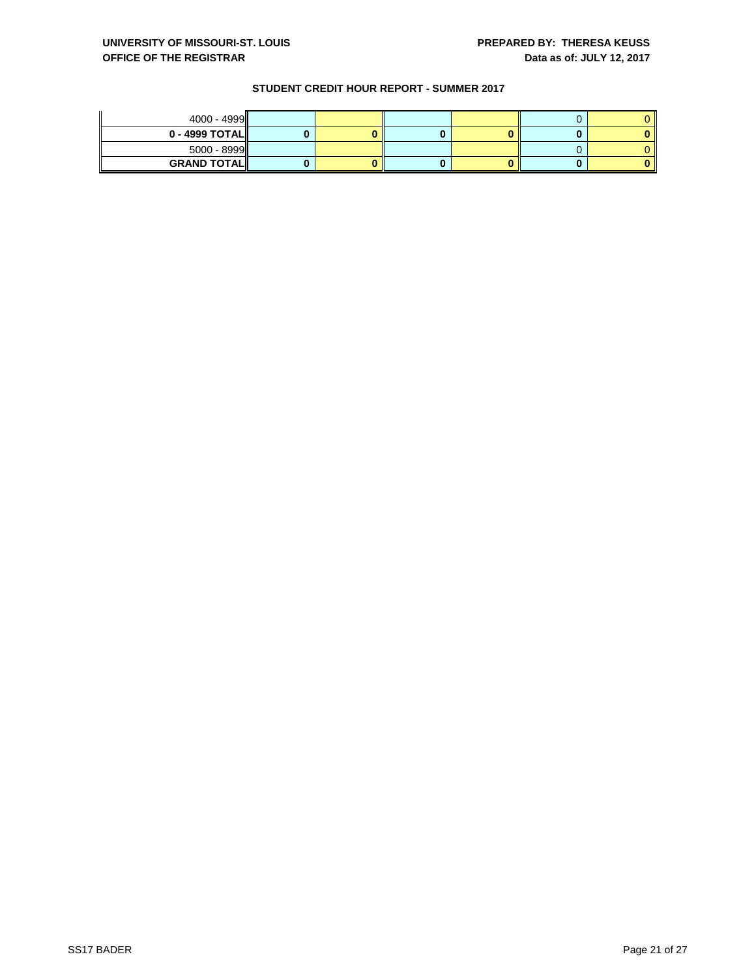| $4000 - 4999$      |  |  |  |
|--------------------|--|--|--|
| $0 - 4999$ TOTAL   |  |  |  |
| $5000 - 8999$      |  |  |  |
| <b>GRAND TOTAL</b> |  |  |  |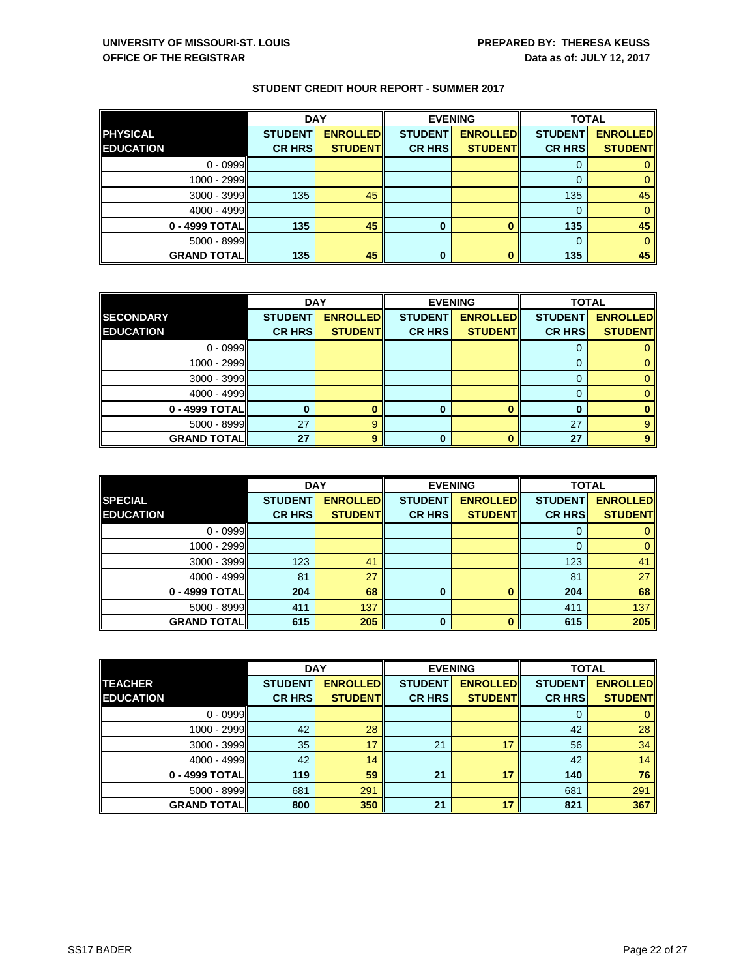|                     | <b>DAY</b>     |                 |                | <b>EVENING</b>  | <b>TOTAL</b>   |                 |
|---------------------|----------------|-----------------|----------------|-----------------|----------------|-----------------|
| <b>PHYSICAL</b>     | <b>STUDENT</b> | <b>ENROLLED</b> | <b>STUDENT</b> | <b>ENROLLED</b> | <b>STUDENT</b> | <b>ENROLLED</b> |
| <b>EDUCATION</b>    | <b>CR HRS</b>  | <b>STUDENT</b>  | <b>CR HRS</b>  | <b>STUDENT</b>  | <b>CR HRS</b>  | <b>STUDENT</b>  |
| $0 - 0999$          |                |                 |                |                 | 0              |                 |
| 1000 - 2999         |                |                 |                |                 |                |                 |
| 3000 - 3999         | 135            | 45              |                |                 | 135            | 45              |
| 4000 - 4999         |                |                 |                |                 | 0              |                 |
| 0 - 4999 TOTAL      | 135            | 45              | 0              |                 | 135            | 45              |
| $5000 - 8999$       |                |                 |                |                 | $\Omega$       |                 |
| <b>GRAND TOTALI</b> | 135            | 45              | 0              |                 | 135            | 45              |

|                     | <b>DAY</b>     |                 |                | <b>EVENING</b>  | <b>TOTAL</b>   |                 |
|---------------------|----------------|-----------------|----------------|-----------------|----------------|-----------------|
| <b>SECONDARY</b>    | <b>STUDENT</b> | <b>ENROLLED</b> | <b>STUDENT</b> | <b>ENROLLED</b> | <b>STUDENT</b> | <b>ENROLLED</b> |
| <b>EDUCATION</b>    | <b>CR HRS</b>  | <b>STUDENT</b>  | <b>CR HRS</b>  | <b>STUDENT</b>  | <b>CR HRS</b>  | <b>STUDENT</b>  |
| $0 - 0999$          |                |                 |                |                 |                |                 |
| 1000 - 2999         |                |                 |                |                 |                |                 |
| $3000 - 3999$       |                |                 |                |                 |                |                 |
| 4000 - 4999         |                |                 |                |                 | O              |                 |
| 0 - 4999 TOTAL      |                |                 | 0              |                 | n              |                 |
| 5000 - 8999         | 27             | g               |                |                 | 27             | 9               |
| <b>GRAND TOTALI</b> | 27             | 9               | 0              |                 | 27             | 9               |

|                    | <b>DAY</b>     |                 |                | <b>EVENING</b>  | <b>TOTAL</b>   |                 |
|--------------------|----------------|-----------------|----------------|-----------------|----------------|-----------------|
| <b>SPECIAL</b>     | <b>STUDENT</b> | <b>ENROLLED</b> | <b>STUDENT</b> | <b>ENROLLED</b> | <b>STUDENT</b> | <b>ENROLLED</b> |
| <b>EDUCATION</b>   | <b>CR HRS</b>  | <b>STUDENT</b>  | <b>CR HRS</b>  | <b>STUDENT</b>  | <b>CR HRS</b>  | <b>STUDENT</b>  |
| $0 - 0999$         |                |                 |                |                 |                |                 |
| 1000 - 2999        |                |                 |                |                 |                | 0               |
| 3000 - 3999        | 123            | 41              |                |                 | 123            | 41              |
| 4000 - 4999        | 81             | 27              |                |                 | 81             | 27              |
| 0 - 4999 TOTAL     | 204            | 68              | 0              |                 | 204            | 68              |
| 5000 - 8999        | 411            | 137             |                |                 | 411            | 137             |
| <b>GRAND TOTAL</b> | 615            | 205             | $\bf{0}$       |                 | 615            | 205             |

|                     | <b>DAY</b>     |                 |                | <b>EVENING</b>  |                | <b>TOTAL</b>    |  |
|---------------------|----------------|-----------------|----------------|-----------------|----------------|-----------------|--|
| <b>ITEACHER</b>     | <b>STUDENT</b> | <b>ENROLLED</b> | <b>STUDENT</b> | <b>ENROLLED</b> | <b>STUDENT</b> | <b>ENROLLED</b> |  |
| <b>EDUCATION</b>    | <b>CR HRS</b>  | <b>STUDENT</b>  | <b>CR HRS</b>  | <b>STUDENT</b>  | <b>CR HRS</b>  | <b>STUDENT</b>  |  |
| $0 - 0999$          |                |                 |                |                 |                | $\mathbf{0}$    |  |
| 1000 - 2999         | 42             | 28              |                |                 | 42             | 28              |  |
| $3000 - 3999$       | 35             | 17              | 21             |                 | 56             | 34              |  |
| $4000 - 4999$       | 42             | 14              |                |                 | 42             | 14              |  |
| 0 - 4999 TOTALI     | 119            | 59              | 21             | 17              | 140            | 76              |  |
| $5000 - 8999$       | 681            | 291             |                |                 | 681            | 291             |  |
| <b>GRAND TOTALI</b> | 800            | 350             | 21             | 17              | 821            | 367             |  |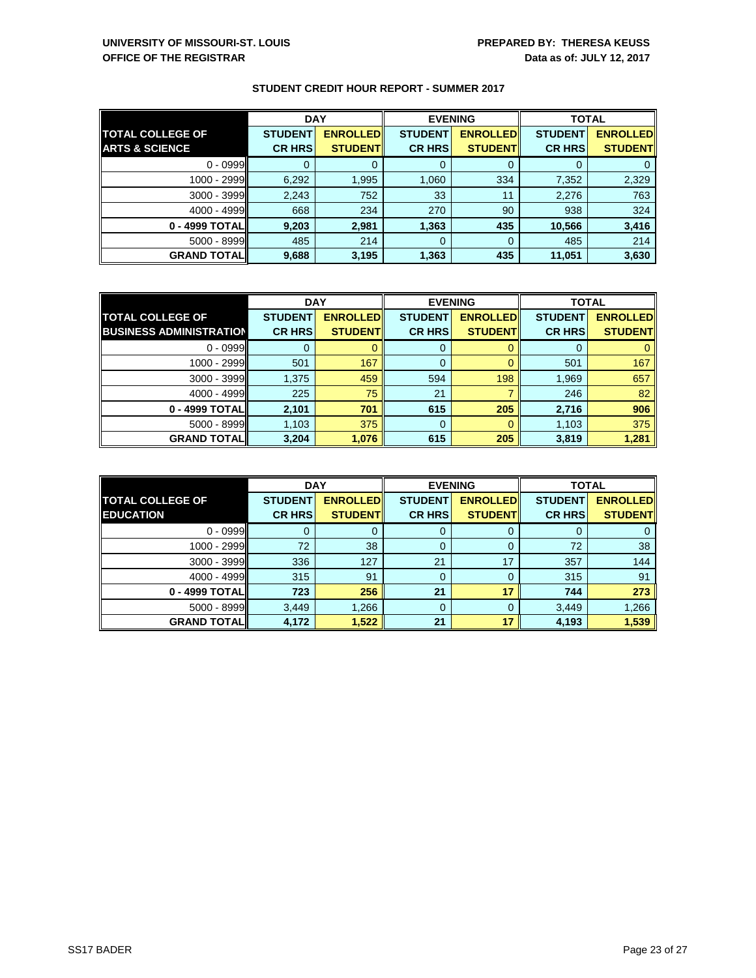|                           | <b>DAY</b>     |                 | <b>EVENING</b> |                 | <b>TOTAL</b>   |                 |
|---------------------------|----------------|-----------------|----------------|-----------------|----------------|-----------------|
| <b>TOTAL COLLEGE OF</b>   | <b>STUDENT</b> | <b>ENROLLED</b> | <b>STUDENT</b> | <b>ENROLLED</b> | <b>STUDENT</b> | <b>ENROLLED</b> |
| <b>ARTS &amp; SCIENCE</b> | <b>CR HRS</b>  | <b>STUDENT</b>  | <b>CR HRS</b>  | <b>STUDENT</b>  | <b>CR HRS</b>  | <b>STUDENT</b>  |
| $0 - 0999$                |                |                 | 0              |                 |                |                 |
| 1000 - 2999               | 6,292          | 1,995           | 1,060          | 334             | 7,352          | 2,329           |
| $3000 - 3999$             | 2,243          | 752             | 33             | 11              | 2,276          | 763             |
| $4000 - 4999$             | 668            | 234             | 270            | 90              | 938            | 324             |
| 0 - 4999 TOTALI           | 9,203          | 2,981           | 1,363          | 435             | 10,566         | 3,416           |
| $5000 - 8999$             | 485            | 214             | 0              | $\Omega$        | 485            | 214             |
| <b>GRAND TOTALI</b>       | 9,688          | 3,195           | 1,363          | 435             | 11,051         | 3,630           |

|                                | <b>DAY</b>     |                  | <b>EVENING</b> |                 | <b>TOTAL</b>   |                 |
|--------------------------------|----------------|------------------|----------------|-----------------|----------------|-----------------|
| <b>TOTAL COLLEGE OF</b>        | <b>STUDENT</b> | <b>ENROLLEDI</b> | <b>STUDENT</b> | <b>ENROLLED</b> | <b>STUDENT</b> | <b>ENROLLED</b> |
| <b>BUSINESS ADMINISTRATION</b> | <b>CR HRS</b>  | <b>STUDENT</b>   | <b>CR HRS</b>  | <b>STUDENTI</b> | <b>CR HRS</b>  | <b>STUDENT</b>  |
| $0 - 0999$                     |                |                  | 0              |                 |                |                 |
| 1000 - 2999                    | 501            | 167              | 0              |                 | 501            | 167             |
| $3000 - 3999$                  | 1,375          | 459              | 594            | 198             | 1,969          | 657             |
| $4000 - 4999$                  | 225            | 75               | 21             |                 | 246            | 82              |
| 0 - 4999 TOTALI                | 2,101          | 701              | 615            | 205             | 2,716          | 906             |
| $5000 - 8999$                  | 1,103          | 375              | 0              |                 | 1,103          | 375             |
| <b>GRAND TOTALI</b>            | 3,204          | 1,076            | 615            | 205             | 3,819          | 1,281           |

|                         | <b>DAY</b>     |                  |                | <b>EVENING</b>   | <b>TOTAL</b>   |                 |
|-------------------------|----------------|------------------|----------------|------------------|----------------|-----------------|
| <b>TOTAL COLLEGE OF</b> | <b>STUDENT</b> | <b>ENROLLEDI</b> | <b>STUDENT</b> | <b>ENROLLEDI</b> | <b>STUDENT</b> | <b>ENROLLED</b> |
| <b>EDUCATION</b>        | <b>CR HRS</b>  | <b>STUDENT</b>   | <b>CR HRS</b>  | <b>STUDENT</b>   | <b>CR HRS</b>  | <b>STUDENT</b>  |
| $0 - 0999$              | U              |                  | 0              |                  |                |                 |
| 1000 - 2999             | 72             | 38               | 0              |                  | 72             | 38              |
| 3000 - 3999             | 336            | 127              | 21             | 17               | 357            | 144             |
| 4000 - 4999I            | 315            | 91               | 0              |                  | 315            | 91              |
| 0 - 4999 TOTALI         | 723            | 256              | 21             | 17               | 744            | 273             |
| $5000 - 8999$           | 3,449          | .266             | 0              |                  | 3,449          | 1,266           |
| <b>GRAND TOTALI</b>     | 4,172          | 1,522            | 21             | 17               | 4,193          | 1,539           |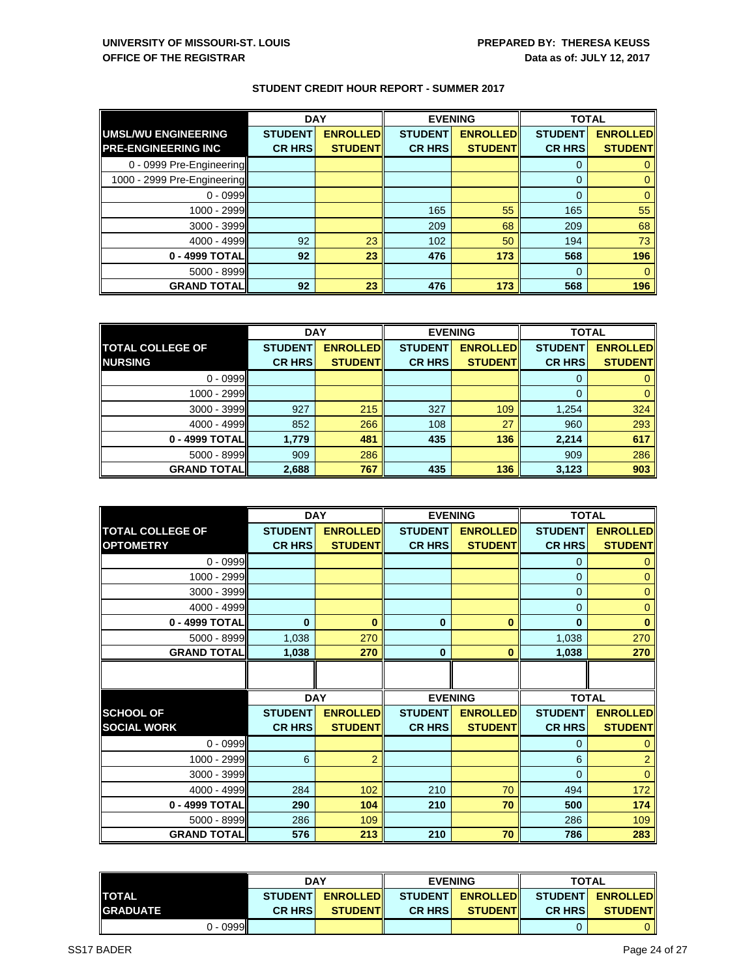|                             | <b>DAY</b>     |                 | <b>EVENING</b> |                 | <b>TOTAL</b>   |                 |
|-----------------------------|----------------|-----------------|----------------|-----------------|----------------|-----------------|
| <b>UMSL/WU ENGINEERING</b>  | <b>STUDENT</b> | <b>ENROLLED</b> | <b>STUDENT</b> | <b>ENROLLED</b> | <b>STUDENT</b> | <b>ENROLLED</b> |
| <b>PRE-ENGINEERING INC</b>  | <b>CR HRS</b>  | <b>STUDENT</b>  | <b>CR HRS</b>  | <b>STUDENT</b>  | <b>CR HRS</b>  | <b>STUDENT</b>  |
| 0 - 0999 Pre-Engineering    |                |                 |                |                 | 0              |                 |
| 1000 - 2999 Pre-Engineering |                |                 |                |                 | $\Omega$       |                 |
| $0 - 0999$                  |                |                 |                |                 | $\Omega$       | 0               |
| $1000 - 2999$               |                |                 | 165            | 55              | 165            | 55              |
| $3000 - 3999$               |                |                 | 209            | 68              | 209            | 68              |
| 4000 - 4999                 | 92             | 23              | 102            | 50              | 194            | 73              |
| 0 - 4999 TOTAL              | 92             | 23              | 476            | 173             | 568            | 196             |
| 5000 - 8999                 |                |                 |                |                 | $\Omega$       | $\Omega$        |
| <b>GRAND TOTAL</b>          | 92             | 23              | 476            | 173             | 568            | 196             |

|                         | <b>DAY</b>     |                  |                | <b>EVENING</b>  | <b>TOTAL</b>   |                 |
|-------------------------|----------------|------------------|----------------|-----------------|----------------|-----------------|
| <b>TOTAL COLLEGE OF</b> | <b>STUDENT</b> | <b>ENROLLEDI</b> | <b>STUDENT</b> | <b>ENROLLED</b> | <b>STUDENT</b> | <b>ENROLLED</b> |
| <b>NURSING</b>          | <b>CR HRS</b>  | <b>STUDENT</b>   | <b>CR HRS</b>  | <b>STUDENT</b>  | <b>CR HRS</b>  | <b>STUDENT</b>  |
| $0 - 0999$              |                |                  |                |                 |                |                 |
| 1000 - 2999             |                |                  |                |                 | $\Omega$       | 0               |
| $3000 - 3999$           | 927            | 215              | 327            | 109             | 1,254          | 324             |
| $4000 - 4999$           | 852            | 266              | 108            | 27              | 960            | 293             |
| 0 - 4999 TOTAL          | 1,779          | 481              | 435            | 136             | 2,214          | 617             |
| $5000 - 8999$           | 909            | 286              |                |                 | 909            | 286             |
| <b>GRAND TOTALI</b>     | 2,688          | 767              | 435            | 136             | 3,123          | 903             |

|                         |                | <b>DAY</b>      | <b>EVENING</b> |                 | <b>TOTAL</b>   |                 |
|-------------------------|----------------|-----------------|----------------|-----------------|----------------|-----------------|
| <b>TOTAL COLLEGE OF</b> | <b>STUDENT</b> | <b>ENROLLED</b> | <b>STUDENT</b> | <b>ENROLLED</b> | <b>STUDENT</b> | <b>ENROLLED</b> |
| <b>OPTOMETRY</b>        | <b>CR HRS</b>  | <b>STUDENT</b>  | <b>CR HRS</b>  | <b>STUDENT</b>  | <b>CR HRS</b>  | <b>STUDENT</b>  |
| $0 - 0999$              |                |                 |                |                 | 0              | 0               |
| 1000 - 2999             |                |                 |                |                 | $\mathbf{0}$   | $\mathbf 0$     |
| 3000 - 3999             |                |                 |                |                 | $\mathbf{0}$   | $\mathbf 0$     |
| 4000 - 4999             |                |                 |                |                 | $\Omega$       | $\mathbf 0$     |
| 0 - 4999 TOTAL          | $\bf{0}$       | $\bf{0}$        | $\mathbf{0}$   | $\bf{0}$        | $\bf{0}$       | $\bf{0}$        |
| 5000 - 8999             | 1,038          | 270             |                |                 | 1,038          | 270             |
| <b>GRAND TOTAL</b>      | 1,038          | 270             | $\bf{0}$       | $\bf{0}$        | 1,038          | 270             |
|                         |                |                 |                |                 |                |                 |
|                         |                |                 |                |                 |                |                 |
|                         |                | <b>DAY</b>      | <b>EVENING</b> |                 | <b>TOTAL</b>   |                 |
| <b>SCHOOL OF</b>        | <b>STUDENT</b> | <b>ENROLLED</b> | <b>STUDENT</b> | <b>ENROLLED</b> | <b>STUDENT</b> | <b>ENROLLED</b> |
| <b>SOCIAL WORK</b>      | <b>CR HRS</b>  | <b>STUDENT</b>  | <b>CR HRS</b>  | <b>STUDENT</b>  | <b>CR HRS</b>  | <b>STUDENT</b>  |
| $0 - 0999$              |                |                 |                |                 | $\Omega$       | $\Omega$        |
| 1000 - 2999             | 6              | $\overline{2}$  |                |                 | 6              | $\overline{2}$  |
| 3000 - 3999             |                |                 |                |                 | $\Omega$       | $\Omega$        |
| 4000 - 4999             | 284            | 102             | 210            | 70              | 494            | 172             |
| 0 - 4999 TOTAL          | 290            | 104             | 210            | 70              | 500            | 174             |
| 5000 - 8999             | 286            | 109             |                |                 | 286            | 109             |
| <b>GRAND TOTAL</b>      | 576            | 213             | 210            | 70              | 786            | 283             |

|                 |            | <b>DAY</b>     |                  | <b>EVENING</b> |                  | <b>TOTAL</b>   |                   |
|-----------------|------------|----------------|------------------|----------------|------------------|----------------|-------------------|
| <b>TOTAL</b>    |            | <b>STUDENT</b> | <b>ENROLLEDI</b> |                | STUDENT ENROLLED |                | STUDENTI ENROLLED |
| <b>GRADUATE</b> |            | <b>CR HRSI</b> | <b>STUDENT</b>   | <b>CR HRSI</b> | <b>STUDENTI</b>  | <b>CR HRSI</b> | <b>STUDENT</b>    |
|                 | $0 - 0999$ |                |                  |                |                  |                |                   |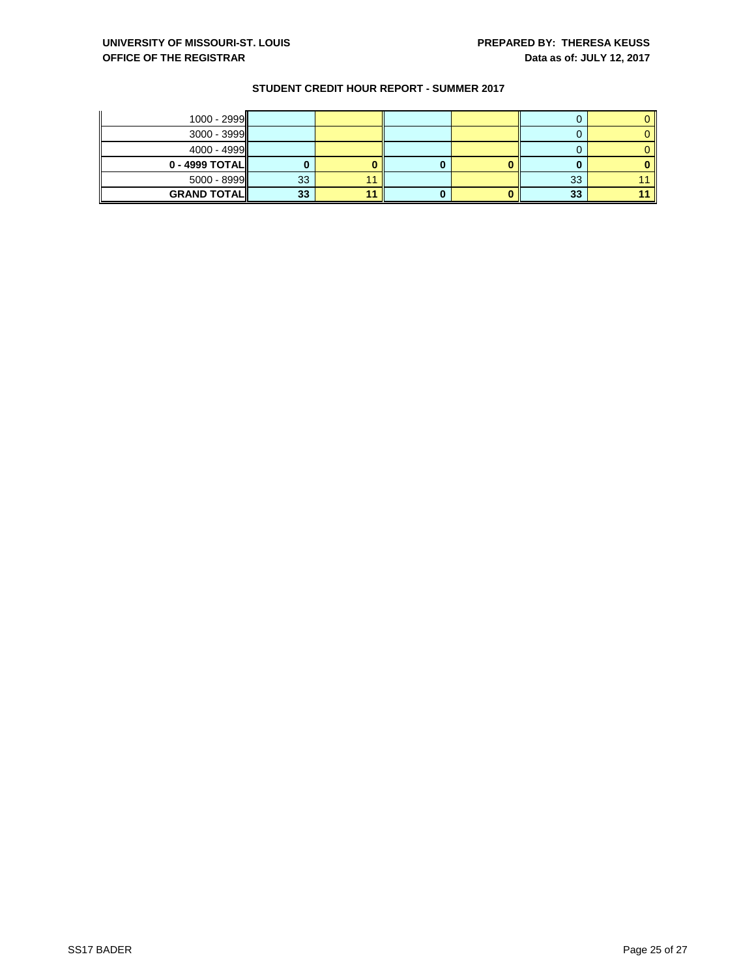| $1000 - 2999$  |    |  |    |  |
|----------------|----|--|----|--|
| $3000 - 3999$  |    |  |    |  |
| $4000 - 4999$  |    |  |    |  |
| 0 - 4999 TOTAL |    |  |    |  |
|                |    |  |    |  |
| $5000 - 8999$  | 33 |  | 33 |  |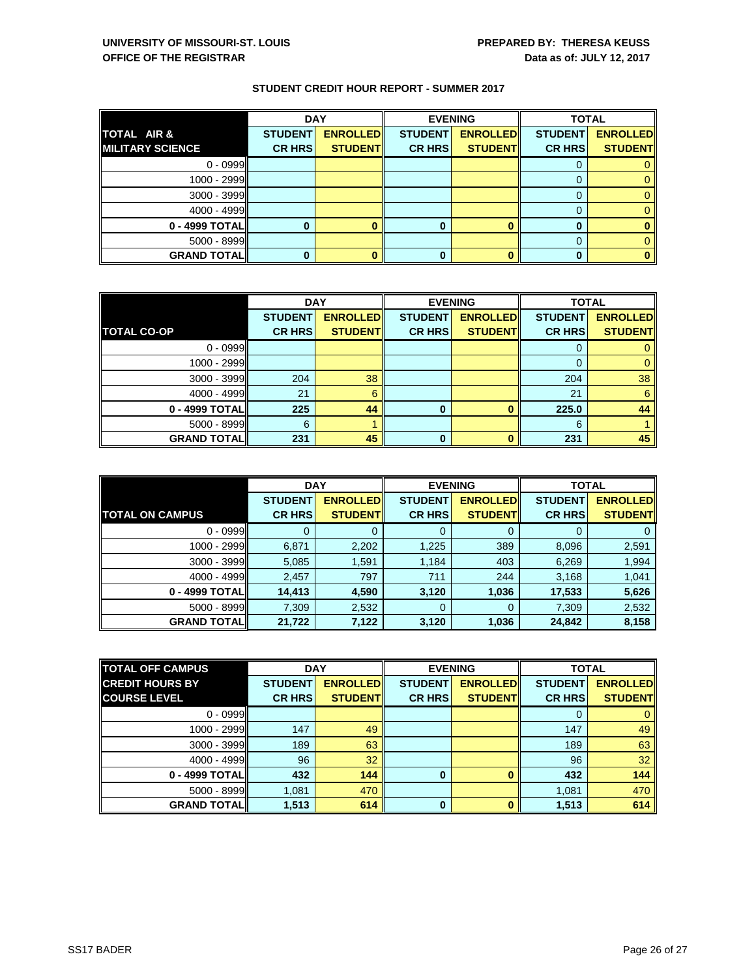|                          | <b>DAY</b>     |                 |                | <b>EVENING</b>  | <b>TOTAL</b>   |                 |
|--------------------------|----------------|-----------------|----------------|-----------------|----------------|-----------------|
| TOTAL AIR &              | <b>STUDENT</b> | <b>ENROLLED</b> | <b>STUDENT</b> | <b>ENROLLED</b> | <b>STUDENT</b> | <b>ENROLLED</b> |
| <b>IMILITARY SCIENCE</b> | <b>CR HRS</b>  | <b>STUDENT</b>  | <b>CR HRS</b>  | <b>STUDENT</b>  | <b>CR HRS</b>  | <b>STUDENT</b>  |
| $0 - 0999$               |                |                 |                |                 | Ü              |                 |
| 1000 - 2999              |                |                 |                |                 |                |                 |
| $3000 - 3999$            |                |                 |                |                 |                |                 |
| $4000 - 4999$            |                |                 |                |                 | O              |                 |
| 0 - 4999 TOTAL           |                |                 | ŋ              |                 |                |                 |
| $5000 - 8999$            |                |                 |                |                 |                |                 |
| <b>GRAND TOTALI</b>      |                |                 |                |                 |                |                 |

|                    | <b>DAY</b>     |                 |                | <b>EVENING</b>  | <b>TOTAL</b>   |                 |
|--------------------|----------------|-----------------|----------------|-----------------|----------------|-----------------|
|                    | <b>STUDENT</b> | <b>ENROLLED</b> | <b>STUDENT</b> | <b>ENROLLED</b> | <b>STUDENT</b> | <b>ENROLLED</b> |
| <b>TOTAL CO-OP</b> | <b>CR HRS</b>  | <b>STUDENT</b>  | <b>CR HRS</b>  | <b>STUDENT</b>  | <b>CR HRS</b>  | <b>STUDENT</b>  |
| $0 - 0999$         |                |                 |                |                 | υ              |                 |
| 1000 - 2999        |                |                 |                |                 |                |                 |
| $3000 - 3999$      | 204            | 38              |                |                 | 204            | 38              |
| 4000 - 4999        | 21             | 6               |                |                 | 21             | 6               |
| 0 - 4999 TOTAL     | 225            | 44              | $\bf{0}$       |                 | 225.0          | 44              |
| 5000 - 8999        | 6              |                 |                |                 | 6              |                 |
| <b>GRAND TOTAL</b> | 231            | 45              | 0              |                 | 231            | 45              |

|                        | <b>DAY</b>     |                 |                | <b>EVENING</b>  | <b>TOTAL</b>   |                 |
|------------------------|----------------|-----------------|----------------|-----------------|----------------|-----------------|
|                        | <b>STUDENT</b> | <b>ENROLLED</b> | <b>STUDENT</b> | <b>ENROLLED</b> | <b>STUDENT</b> | <b>ENROLLED</b> |
| <b>TOTAL ON CAMPUS</b> | <b>CR HRS</b>  | <b>STUDENT</b>  | <b>CR HRS</b>  | <b>STUDENT</b>  | <b>CR HRS</b>  | <b>STUDENT</b>  |
| $0 - 0999$             |                |                 | 0              |                 | O              | 0               |
| 1000 - 2999            | 6,871          | 2,202           | 1,225          | 389             | 8,096          | 2,591           |
| $3000 - 3999$          | 5,085          | .591            | 1,184          | 403             | 6,269          | 1,994           |
| $4000 - 4999$          | 2,457          | 797             | 711            | 244             | 3,168          | 1,041           |
| 0 - 4999 TOTALI        | 14,413         | 4,590           | 3,120          | 1,036           | 17,533         | 5,626           |
| $5000 - 8999$          | 7,309          | 2,532           | 0              |                 | 7,309          | 2,532           |
| <b>GRAND TOTALI</b>    | 21,722         | 7,122           | 3,120          | 1,036           | 24,842         | 8,158           |

| <b>TOTAL OFF CAMPUS</b> |                | <b>DAY</b>      | <b>EVENING</b> |                 | <b>TOTAL</b>   |                 |
|-------------------------|----------------|-----------------|----------------|-----------------|----------------|-----------------|
| <b>CREDIT HOURS BY</b>  | <b>STUDENT</b> | <b>ENROLLED</b> | <b>STUDENT</b> | <b>ENROLLED</b> | <b>STUDENT</b> | <b>ENROLLED</b> |
| <b>COURSE LEVEL</b>     | <b>CR HRS</b>  | <b>STUDENT</b>  | <b>CR HRS</b>  | <b>STUDENT</b>  | <b>CR HRS</b>  | <b>STUDENT</b>  |
| $0 - 0999$              |                |                 |                |                 |                |                 |
| 1000 - 2999             | 147            | 49              |                |                 | 147            | 49              |
| $3000 - 3999$           | 189            | 63              |                |                 | 189            | 63              |
| $4000 - 4999$           | 96             | 32              |                |                 | 96             | 32              |
| 0 - 4999 TOTALI         | 432            | 144             | 0              |                 | 432            | 144             |
| $5000 - 8999$           | 1.081          | 470             |                |                 | 1,081          | 470             |
| <b>GRAND TOTAL</b>      | 1,513          | 614             | 0              |                 | 1,513          | 614             |